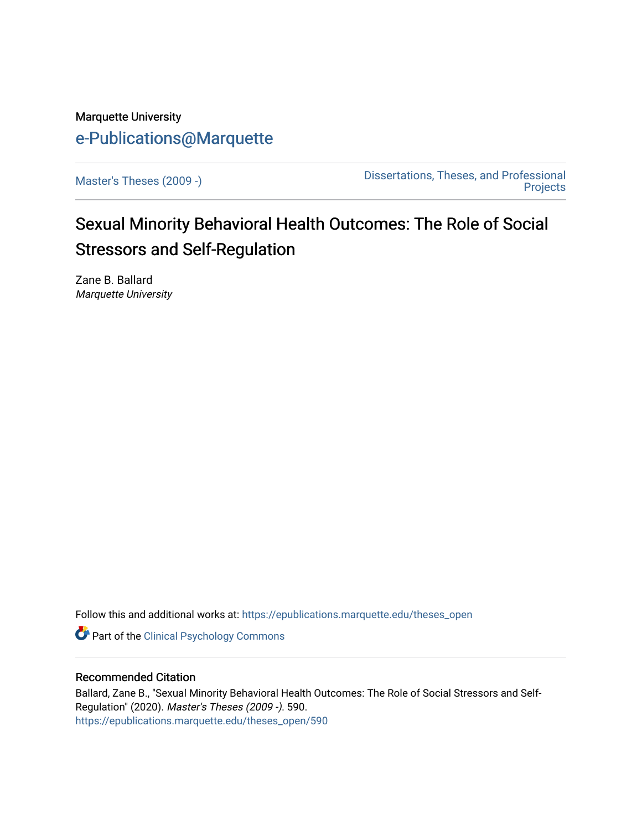# Marquette University [e-Publications@Marquette](https://epublications.marquette.edu/)

[Master's Theses \(2009 -\)](https://epublications.marquette.edu/theses_open) [Dissertations, Theses, and Professional](https://epublications.marquette.edu/diss_theses)  **Projects** 

# Sexual Minority Behavioral Health Outcomes: The Role of Social Stressors and Self-Regulation

Zane B. Ballard Marquette University

Follow this and additional works at: [https://epublications.marquette.edu/theses\\_open](https://epublications.marquette.edu/theses_open?utm_source=epublications.marquette.edu%2Ftheses_open%2F590&utm_medium=PDF&utm_campaign=PDFCoverPages) 

Part of the [Clinical Psychology Commons](http://network.bepress.com/hgg/discipline/406?utm_source=epublications.marquette.edu%2Ftheses_open%2F590&utm_medium=PDF&utm_campaign=PDFCoverPages) 

#### Recommended Citation

Ballard, Zane B., "Sexual Minority Behavioral Health Outcomes: The Role of Social Stressors and Self-Regulation" (2020). Master's Theses (2009 -). 590. [https://epublications.marquette.edu/theses\\_open/590](https://epublications.marquette.edu/theses_open/590?utm_source=epublications.marquette.edu%2Ftheses_open%2F590&utm_medium=PDF&utm_campaign=PDFCoverPages)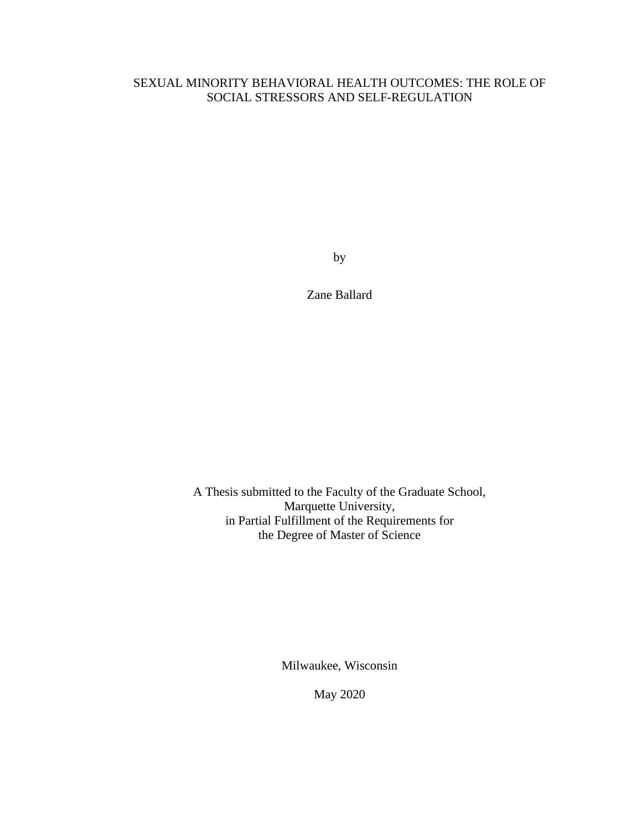### SEXUAL MINORITY BEHAVIORAL HEALTH OUTCOMES: THE ROLE OF SOCIAL STRESSORS AND SELF-REGULATION

by

Zane Ballard

A Thesis submitted to the Faculty of the Graduate School, Marquette University, in Partial Fulfillment of the Requirements for the Degree of Master of Science

Milwaukee, Wisconsin

May 2020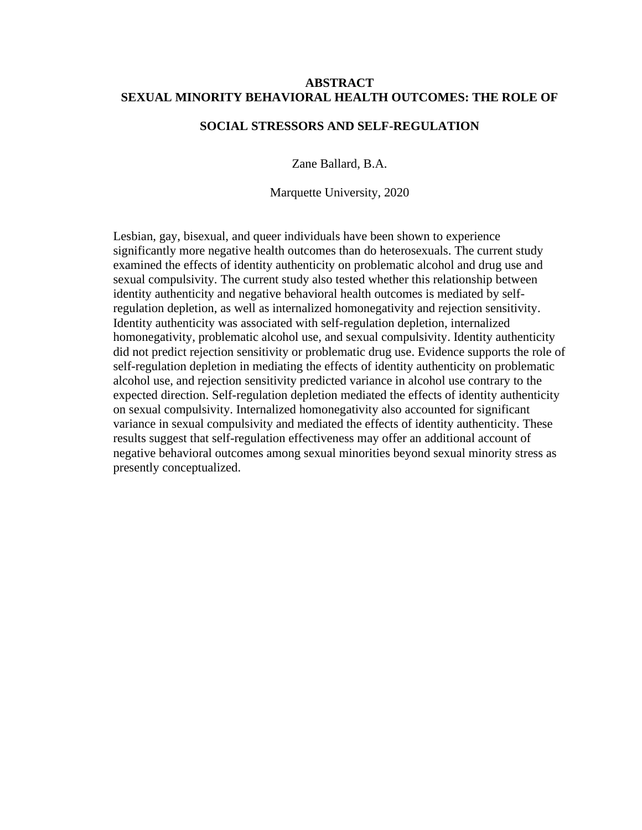#### **ABSTRACT SEXUAL MINORITY BEHAVIORAL HEALTH OUTCOMES: THE ROLE OF**

#### **SOCIAL STRESSORS AND SELF-REGULATION**

Zane Ballard, B.A.

Marquette University, 2020

Lesbian, gay, bisexual, and queer individuals have been shown to experience significantly more negative health outcomes than do heterosexuals. The current study examined the effects of identity authenticity on problematic alcohol and drug use and sexual compulsivity. The current study also tested whether this relationship between identity authenticity and negative behavioral health outcomes is mediated by selfregulation depletion, as well as internalized homonegativity and rejection sensitivity. Identity authenticity was associated with self-regulation depletion, internalized homonegativity, problematic alcohol use, and sexual compulsivity. Identity authenticity did not predict rejection sensitivity or problematic drug use. Evidence supports the role of self-regulation depletion in mediating the effects of identity authenticity on problematic alcohol use, and rejection sensitivity predicted variance in alcohol use contrary to the expected direction. Self-regulation depletion mediated the effects of identity authenticity on sexual compulsivity. Internalized homonegativity also accounted for significant variance in sexual compulsivity and mediated the effects of identity authenticity. These results suggest that self-regulation effectiveness may offer an additional account of negative behavioral outcomes among sexual minorities beyond sexual minority stress as presently conceptualized.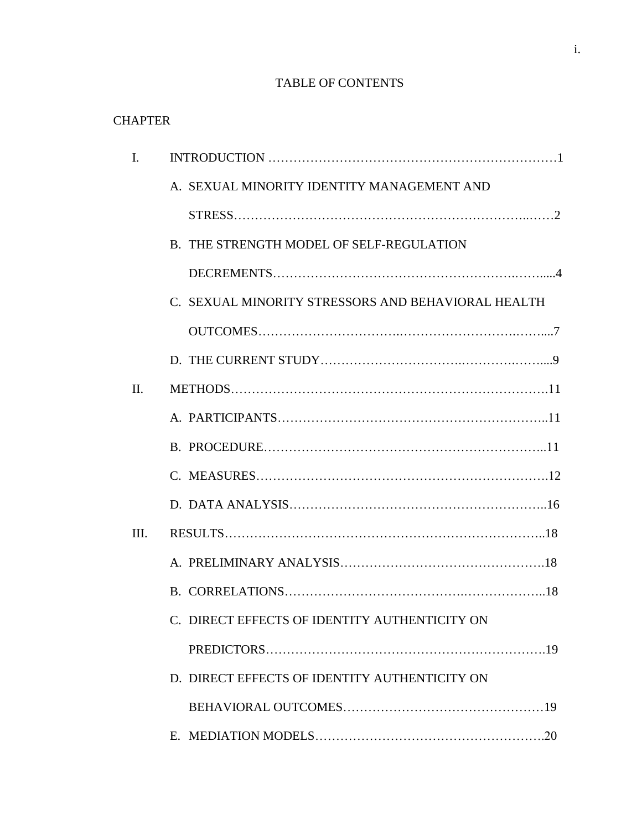### TABLE OF CONTENTS

### **CHAPTER**

| I.   |                                                    |
|------|----------------------------------------------------|
|      | A. SEXUAL MINORITY IDENTITY MANAGEMENT AND         |
|      |                                                    |
|      | B. THE STRENGTH MODEL OF SELF-REGULATION           |
|      |                                                    |
|      | C. SEXUAL MINORITY STRESSORS AND BEHAVIORAL HEALTH |
|      |                                                    |
|      |                                                    |
| II.  |                                                    |
|      |                                                    |
|      |                                                    |
|      |                                                    |
|      |                                                    |
| III. |                                                    |
|      |                                                    |
|      |                                                    |
|      | C. DIRECT EFFECTS OF IDENTITY AUTHENTICITY ON      |
|      |                                                    |
|      | D. DIRECT EFFECTS OF IDENTITY AUTHENTICITY ON      |
|      |                                                    |
|      |                                                    |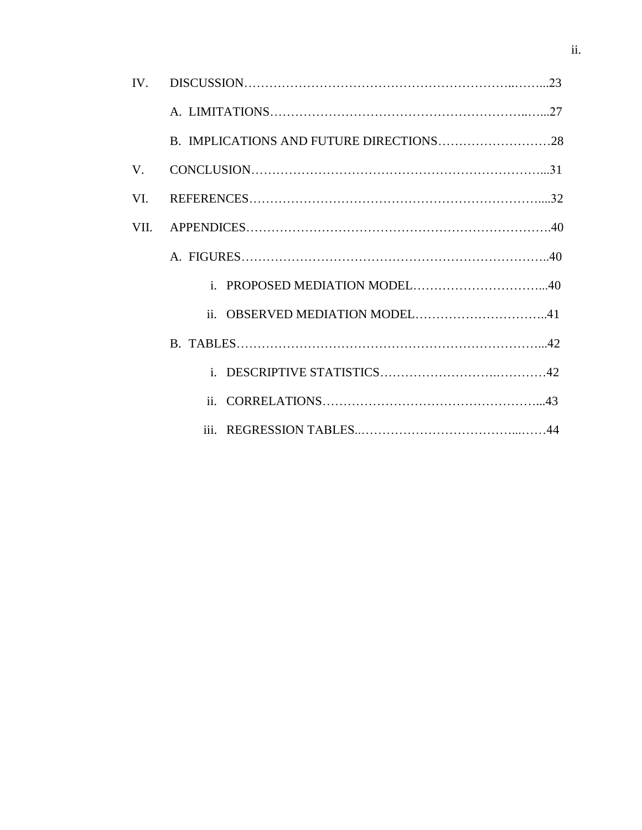|      | B. IMPLICATIONS AND FUTURE DIRECTIONS28 |  |
|------|-----------------------------------------|--|
| V.   | $CONCLUSION. \dots 131$                 |  |
| VI.  |                                         |  |
| VII. |                                         |  |
|      |                                         |  |
|      |                                         |  |
|      | ii. OBSERVED MEDIATION MODEL41          |  |
|      |                                         |  |
|      |                                         |  |
|      |                                         |  |
|      |                                         |  |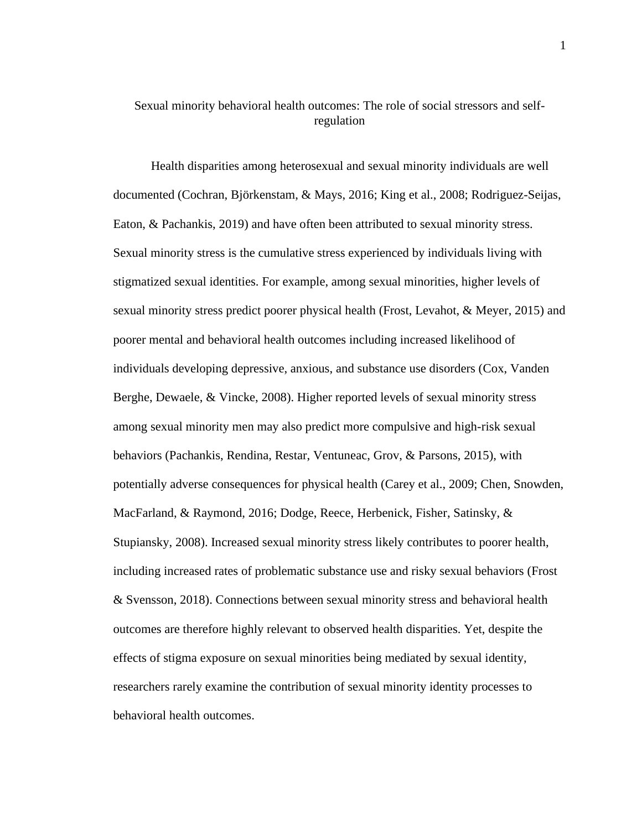### Sexual minority behavioral health outcomes: The role of social stressors and selfregulation

Health disparities among heterosexual and sexual minority individuals are well documented (Cochran, Björkenstam, & Mays, 2016; King et al., 2008; Rodriguez-Seijas, Eaton, & Pachankis, 2019) and have often been attributed to sexual minority stress. Sexual minority stress is the cumulative stress experienced by individuals living with stigmatized sexual identities. For example, among sexual minorities, higher levels of sexual minority stress predict poorer physical health (Frost, Levahot, & Meyer, 2015) and poorer mental and behavioral health outcomes including increased likelihood of individuals developing depressive, anxious, and substance use disorders (Cox, Vanden Berghe, Dewaele, & Vincke, 2008). Higher reported levels of sexual minority stress among sexual minority men may also predict more compulsive and high-risk sexual behaviors (Pachankis, Rendina, Restar, Ventuneac, Grov, & Parsons, 2015), with potentially adverse consequences for physical health (Carey et al., 2009; Chen, Snowden, MacFarland, & Raymond, 2016; Dodge, Reece, Herbenick, Fisher, Satinsky, & Stupiansky, 2008). Increased sexual minority stress likely contributes to poorer health, including increased rates of problematic substance use and risky sexual behaviors (Frost & Svensson, 2018). Connections between sexual minority stress and behavioral health outcomes are therefore highly relevant to observed health disparities. Yet, despite the effects of stigma exposure on sexual minorities being mediated by sexual identity, researchers rarely examine the contribution of sexual minority identity processes to behavioral health outcomes.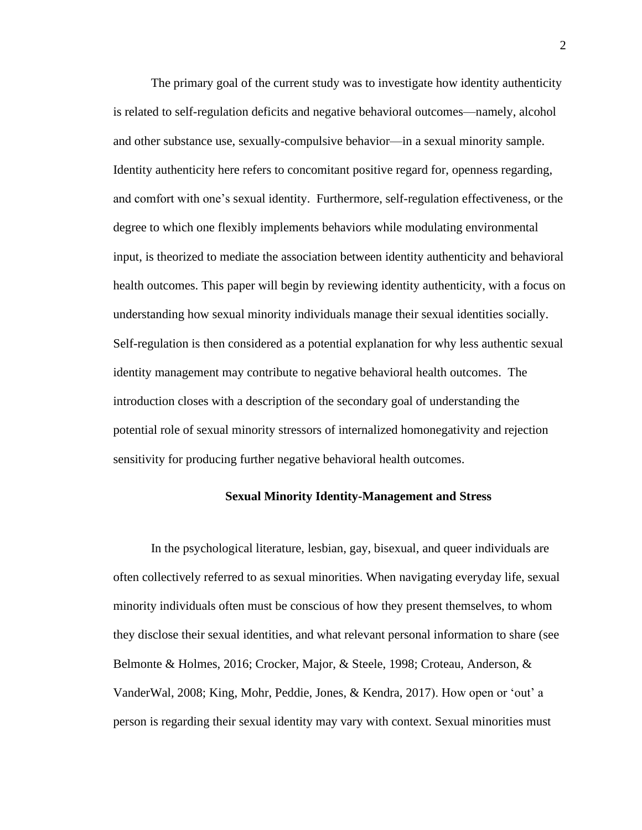The primary goal of the current study was to investigate how identity authenticity is related to self-regulation deficits and negative behavioral outcomes—namely, alcohol and other substance use, sexually-compulsive behavior—in a sexual minority sample. Identity authenticity here refers to concomitant positive regard for, openness regarding, and comfort with one's sexual identity. Furthermore, self-regulation effectiveness, or the degree to which one flexibly implements behaviors while modulating environmental input, is theorized to mediate the association between identity authenticity and behavioral health outcomes. This paper will begin by reviewing identity authenticity, with a focus on understanding how sexual minority individuals manage their sexual identities socially. Self-regulation is then considered as a potential explanation for why less authentic sexual identity management may contribute to negative behavioral health outcomes. The introduction closes with a description of the secondary goal of understanding the potential role of sexual minority stressors of internalized homonegativity and rejection sensitivity for producing further negative behavioral health outcomes.

#### **Sexual Minority Identity-Management and Stress**

In the psychological literature, lesbian, gay, bisexual, and queer individuals are often collectively referred to as sexual minorities. When navigating everyday life, sexual minority individuals often must be conscious of how they present themselves, to whom they disclose their sexual identities, and what relevant personal information to share (see Belmonte & Holmes, 2016; Crocker, Major, & Steele, 1998; Croteau, Anderson, & VanderWal, 2008; King, Mohr, Peddie, Jones, & Kendra, 2017). How open or 'out' a person is regarding their sexual identity may vary with context. Sexual minorities must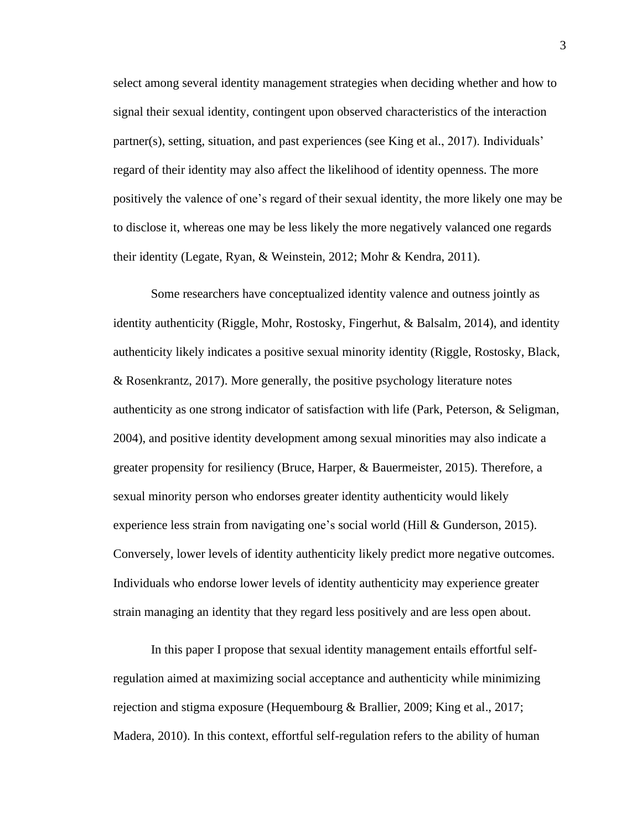select among several identity management strategies when deciding whether and how to signal their sexual identity, contingent upon observed characteristics of the interaction partner(s), setting, situation, and past experiences (see King et al., 2017). Individuals' regard of their identity may also affect the likelihood of identity openness. The more positively the valence of one's regard of their sexual identity, the more likely one may be to disclose it, whereas one may be less likely the more negatively valanced one regards their identity (Legate, Ryan, & Weinstein, 2012; Mohr & Kendra, 2011).

Some researchers have conceptualized identity valence and outness jointly as identity authenticity (Riggle, Mohr, Rostosky, Fingerhut, & Balsalm, 2014), and identity authenticity likely indicates a positive sexual minority identity (Riggle, Rostosky, Black, & Rosenkrantz, 2017). More generally, the positive psychology literature notes authenticity as one strong indicator of satisfaction with life (Park, Peterson, & Seligman, 2004), and positive identity development among sexual minorities may also indicate a greater propensity for resiliency (Bruce, Harper, & Bauermeister, 2015). Therefore, a sexual minority person who endorses greater identity authenticity would likely experience less strain from navigating one's social world (Hill & Gunderson, 2015). Conversely, lower levels of identity authenticity likely predict more negative outcomes. Individuals who endorse lower levels of identity authenticity may experience greater strain managing an identity that they regard less positively and are less open about.

In this paper I propose that sexual identity management entails effortful selfregulation aimed at maximizing social acceptance and authenticity while minimizing rejection and stigma exposure (Hequembourg & Brallier, 2009; King et al., 2017; Madera, 2010). In this context, effortful self-regulation refers to the ability of human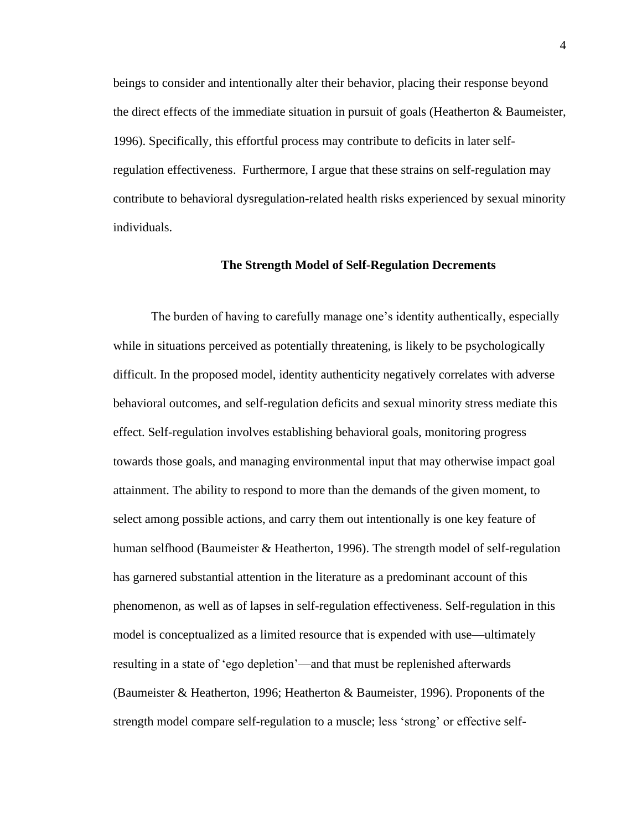beings to consider and intentionally alter their behavior, placing their response beyond the direct effects of the immediate situation in pursuit of goals (Heatherton & Baumeister, 1996). Specifically, this effortful process may contribute to deficits in later selfregulation effectiveness. Furthermore, I argue that these strains on self-regulation may contribute to behavioral dysregulation-related health risks experienced by sexual minority individuals.

#### **The Strength Model of Self-Regulation Decrements**

The burden of having to carefully manage one's identity authentically, especially while in situations perceived as potentially threatening, is likely to be psychologically difficult. In the proposed model, identity authenticity negatively correlates with adverse behavioral outcomes, and self-regulation deficits and sexual minority stress mediate this effect. Self-regulation involves establishing behavioral goals, monitoring progress towards those goals, and managing environmental input that may otherwise impact goal attainment. The ability to respond to more than the demands of the given moment, to select among possible actions, and carry them out intentionally is one key feature of human selfhood (Baumeister & Heatherton, 1996). The strength model of self-regulation has garnered substantial attention in the literature as a predominant account of this phenomenon, as well as of lapses in self-regulation effectiveness. Self-regulation in this model is conceptualized as a limited resource that is expended with use—ultimately resulting in a state of 'ego depletion'—and that must be replenished afterwards (Baumeister & Heatherton, 1996; Heatherton & Baumeister, 1996). Proponents of the strength model compare self-regulation to a muscle; less 'strong' or effective self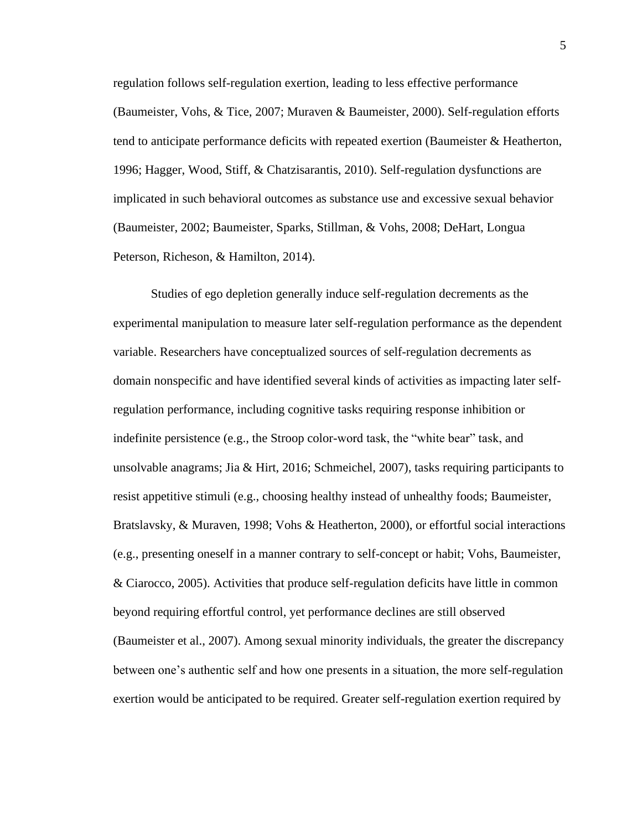regulation follows self-regulation exertion, leading to less effective performance (Baumeister, Vohs, & Tice, 2007; Muraven & Baumeister, 2000). Self-regulation efforts tend to anticipate performance deficits with repeated exertion (Baumeister & Heatherton, 1996; Hagger, Wood, Stiff, & Chatzisarantis, 2010). Self-regulation dysfunctions are implicated in such behavioral outcomes as substance use and excessive sexual behavior (Baumeister, 2002; Baumeister, Sparks, Stillman, & Vohs, 2008; DeHart, Longua Peterson, Richeson, & Hamilton, 2014).

Studies of ego depletion generally induce self-regulation decrements as the experimental manipulation to measure later self-regulation performance as the dependent variable. Researchers have conceptualized sources of self-regulation decrements as domain nonspecific and have identified several kinds of activities as impacting later selfregulation performance, including cognitive tasks requiring response inhibition or indefinite persistence (e.g., the Stroop color-word task, the "white bear" task, and unsolvable anagrams; Jia & Hirt, 2016; Schmeichel, 2007), tasks requiring participants to resist appetitive stimuli (e.g., choosing healthy instead of unhealthy foods; Baumeister, Bratslavsky, & Muraven, 1998; Vohs & Heatherton, 2000), or effortful social interactions (e.g., presenting oneself in a manner contrary to self-concept or habit; Vohs, Baumeister, & Ciarocco, 2005). Activities that produce self-regulation deficits have little in common beyond requiring effortful control, yet performance declines are still observed (Baumeister et al., 2007). Among sexual minority individuals, the greater the discrepancy between one's authentic self and how one presents in a situation, the more self-regulation exertion would be anticipated to be required. Greater self-regulation exertion required by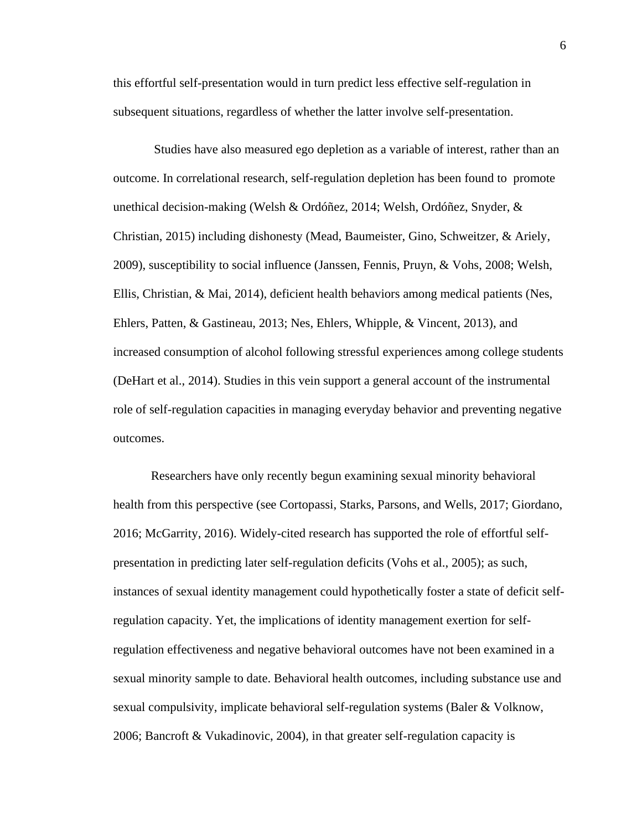this effortful self-presentation would in turn predict less effective self-regulation in subsequent situations, regardless of whether the latter involve self-presentation.

Studies have also measured ego depletion as a variable of interest, rather than an outcome. In correlational research, self-regulation depletion has been found to promote unethical decision-making (Welsh & Ordóñez, 2014; Welsh, Ordóñez, Snyder, & Christian, 2015) including dishonesty (Mead, Baumeister, Gino, Schweitzer, & Ariely, 2009), susceptibility to social influence (Janssen, Fennis, Pruyn, & Vohs, 2008; Welsh, Ellis, Christian, & Mai, 2014), deficient health behaviors among medical patients (Nes, Ehlers, Patten, & Gastineau, 2013; Nes, Ehlers, Whipple, & Vincent, 2013), and increased consumption of alcohol following stressful experiences among college students (DeHart et al., 2014). Studies in this vein support a general account of the instrumental role of self-regulation capacities in managing everyday behavior and preventing negative outcomes.

Researchers have only recently begun examining sexual minority behavioral health from this perspective (see Cortopassi, Starks, Parsons, and Wells, 2017; Giordano, 2016; McGarrity, 2016). Widely-cited research has supported the role of effortful selfpresentation in predicting later self-regulation deficits (Vohs et al., 2005); as such, instances of sexual identity management could hypothetically foster a state of deficit selfregulation capacity. Yet, the implications of identity management exertion for selfregulation effectiveness and negative behavioral outcomes have not been examined in a sexual minority sample to date. Behavioral health outcomes, including substance use and sexual compulsivity, implicate behavioral self-regulation systems (Baler & Volknow, 2006; Bancroft & Vukadinovic, 2004), in that greater self-regulation capacity is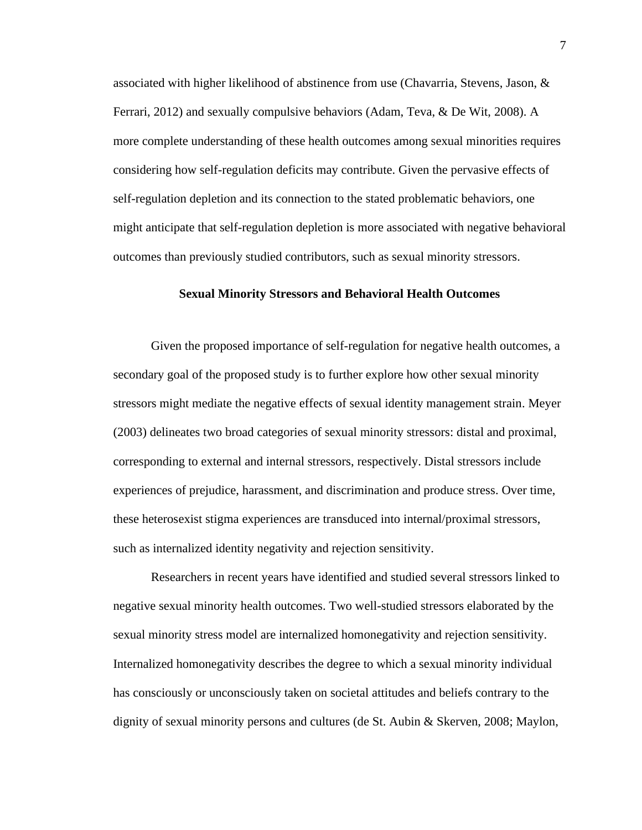associated with higher likelihood of abstinence from use (Chavarria, Stevens, Jason, & Ferrari, 2012) and sexually compulsive behaviors (Adam, Teva, & De Wit, 2008). A more complete understanding of these health outcomes among sexual minorities requires considering how self-regulation deficits may contribute. Given the pervasive effects of self-regulation depletion and its connection to the stated problematic behaviors, one might anticipate that self-regulation depletion is more associated with negative behavioral outcomes than previously studied contributors, such as sexual minority stressors.

#### **Sexual Minority Stressors and Behavioral Health Outcomes**

Given the proposed importance of self-regulation for negative health outcomes, a secondary goal of the proposed study is to further explore how other sexual minority stressors might mediate the negative effects of sexual identity management strain. Meyer (2003) delineates two broad categories of sexual minority stressors: distal and proximal, corresponding to external and internal stressors, respectively. Distal stressors include experiences of prejudice, harassment, and discrimination and produce stress. Over time, these heterosexist stigma experiences are transduced into internal/proximal stressors, such as internalized identity negativity and rejection sensitivity.

Researchers in recent years have identified and studied several stressors linked to negative sexual minority health outcomes. Two well-studied stressors elaborated by the sexual minority stress model are internalized homonegativity and rejection sensitivity. Internalized homonegativity describes the degree to which a sexual minority individual has consciously or unconsciously taken on societal attitudes and beliefs contrary to the dignity of sexual minority persons and cultures (de St. Aubin & Skerven, 2008; Maylon,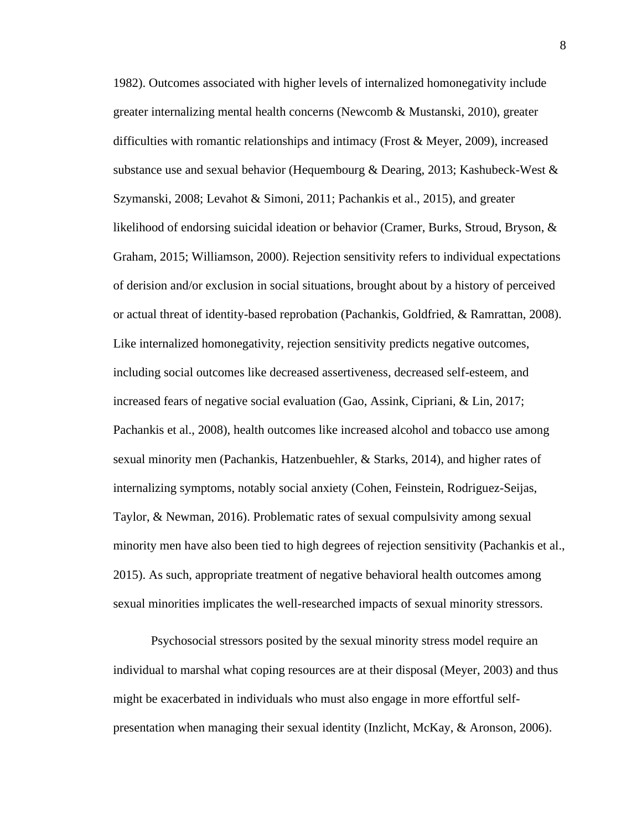1982). Outcomes associated with higher levels of internalized homonegativity include greater internalizing mental health concerns (Newcomb & Mustanski, 2010), greater difficulties with romantic relationships and intimacy (Frost & Meyer, 2009), increased substance use and sexual behavior (Hequembourg & Dearing, 2013; Kashubeck-West & Szymanski, 2008; Levahot & Simoni, 2011; Pachankis et al., 2015), and greater likelihood of endorsing suicidal ideation or behavior (Cramer, Burks, Stroud, Bryson, & Graham, 2015; Williamson, 2000). Rejection sensitivity refers to individual expectations of derision and/or exclusion in social situations, brought about by a history of perceived or actual threat of identity-based reprobation (Pachankis, Goldfried, & Ramrattan, 2008). Like internalized homonegativity, rejection sensitivity predicts negative outcomes, including social outcomes like decreased assertiveness, decreased self-esteem, and increased fears of negative social evaluation (Gao, Assink, Cipriani, & Lin, 2017; Pachankis et al., 2008), health outcomes like increased alcohol and tobacco use among sexual minority men (Pachankis, Hatzenbuehler, & Starks, 2014), and higher rates of internalizing symptoms, notably social anxiety (Cohen, Feinstein, Rodriguez-Seijas, Taylor, & Newman, 2016). Problematic rates of sexual compulsivity among sexual minority men have also been tied to high degrees of rejection sensitivity (Pachankis et al., 2015). As such, appropriate treatment of negative behavioral health outcomes among sexual minorities implicates the well-researched impacts of sexual minority stressors.

Psychosocial stressors posited by the sexual minority stress model require an individual to marshal what coping resources are at their disposal (Meyer, 2003) and thus might be exacerbated in individuals who must also engage in more effortful selfpresentation when managing their sexual identity (Inzlicht, McKay, & Aronson, 2006).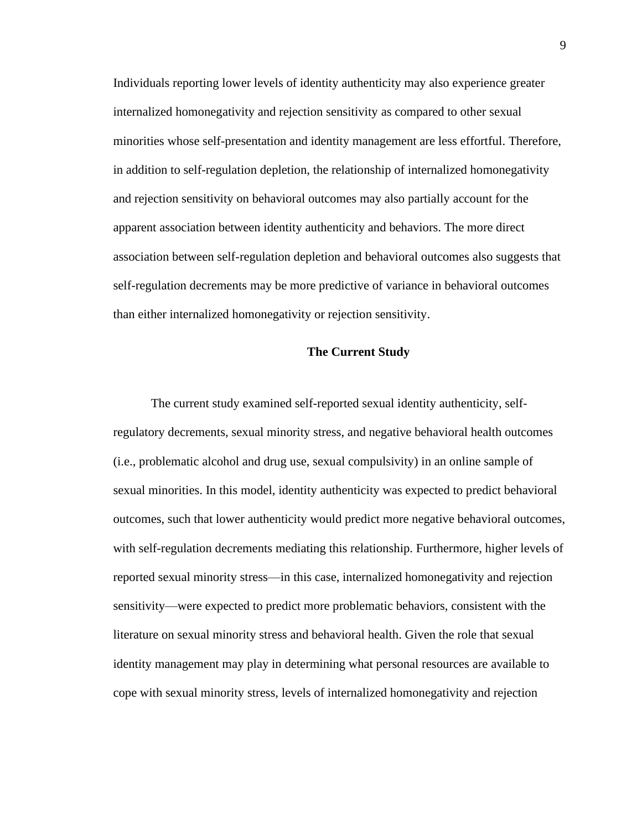Individuals reporting lower levels of identity authenticity may also experience greater internalized homonegativity and rejection sensitivity as compared to other sexual minorities whose self-presentation and identity management are less effortful. Therefore, in addition to self-regulation depletion, the relationship of internalized homonegativity and rejection sensitivity on behavioral outcomes may also partially account for the apparent association between identity authenticity and behaviors. The more direct association between self-regulation depletion and behavioral outcomes also suggests that self-regulation decrements may be more predictive of variance in behavioral outcomes than either internalized homonegativity or rejection sensitivity.

#### **The Current Study**

The current study examined self-reported sexual identity authenticity, selfregulatory decrements, sexual minority stress, and negative behavioral health outcomes (i.e., problematic alcohol and drug use, sexual compulsivity) in an online sample of sexual minorities. In this model, identity authenticity was expected to predict behavioral outcomes, such that lower authenticity would predict more negative behavioral outcomes, with self-regulation decrements mediating this relationship. Furthermore, higher levels of reported sexual minority stress—in this case, internalized homonegativity and rejection sensitivity—were expected to predict more problematic behaviors, consistent with the literature on sexual minority stress and behavioral health. Given the role that sexual identity management may play in determining what personal resources are available to cope with sexual minority stress, levels of internalized homonegativity and rejection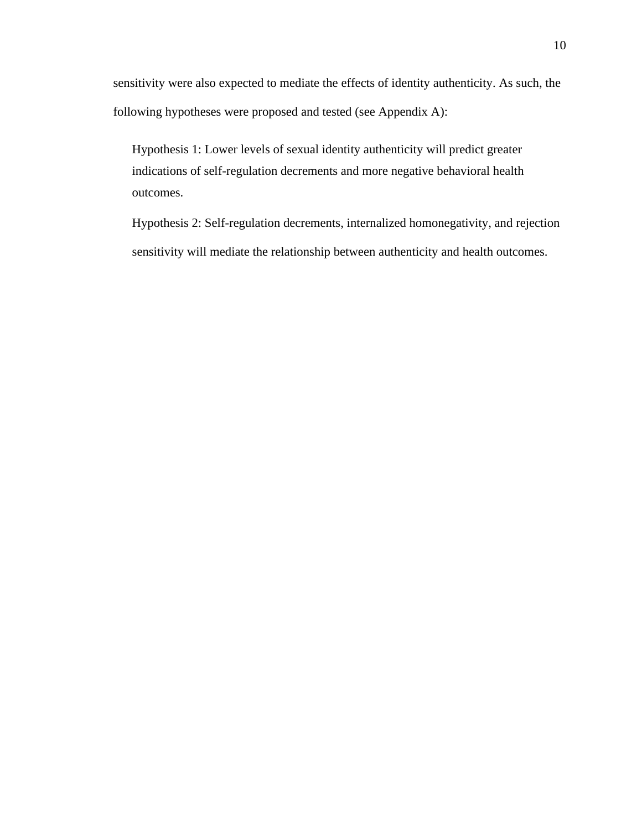sensitivity were also expected to mediate the effects of identity authenticity. As such, the following hypotheses were proposed and tested (see Appendix A):

Hypothesis 1: Lower levels of sexual identity authenticity will predict greater indications of self-regulation decrements and more negative behavioral health outcomes.

Hypothesis 2: Self-regulation decrements, internalized homonegativity, and rejection sensitivity will mediate the relationship between authenticity and health outcomes.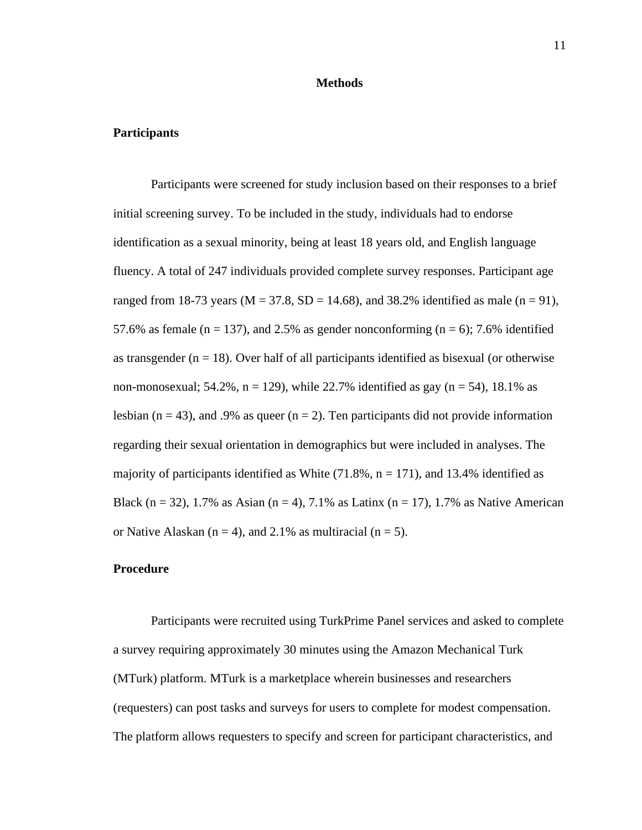#### **Methods**

#### **Participants**

Participants were screened for study inclusion based on their responses to a brief initial screening survey. To be included in the study, individuals had to endorse identification as a sexual minority, being at least 18 years old, and English language fluency. A total of 247 individuals provided complete survey responses. Participant age ranged from 18-73 years ( $M = 37.8$ ,  $SD = 14.68$ ), and 38.2% identified as male (n = 91), 57.6% as female ( $n = 137$ ), and 2.5% as gender nonconforming ( $n = 6$ ); 7.6% identified as transgender ( $n = 18$ ). Over half of all participants identified as bisexual (or otherwise non-monosexual; 54.2%,  $n = 129$ ), while 22.7% identified as gay ( $n = 54$ ), 18.1% as lesbian ( $n = 43$ ), and .9% as queer ( $n = 2$ ). Ten participants did not provide information regarding their sexual orientation in demographics but were included in analyses. The majority of participants identified as White  $(71.8\%, n = 171)$ , and 13.4% identified as Black (n = 32), 1.7% as Asian (n = 4), 7.1% as Latinx (n = 17), 1.7% as Native American or Native Alaskan ( $n = 4$ ), and 2.1% as multiracial ( $n = 5$ ).

#### **Procedure**

Participants were recruited using TurkPrime Panel services and asked to complete a survey requiring approximately 30 minutes using the Amazon Mechanical Turk (MTurk) platform. MTurk is a marketplace wherein businesses and researchers (requesters) can post tasks and surveys for users to complete for modest compensation. The platform allows requesters to specify and screen for participant characteristics, and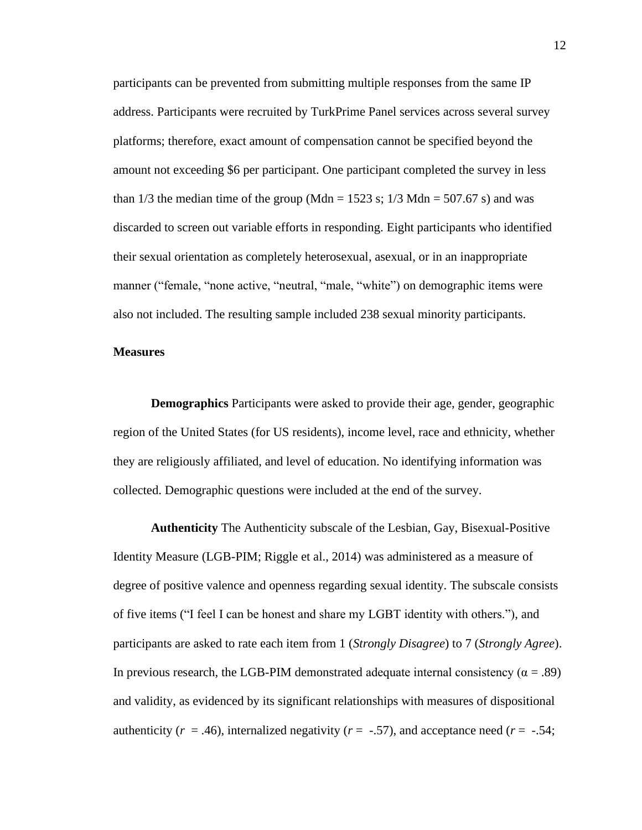participants can be prevented from submitting multiple responses from the same IP address. Participants were recruited by TurkPrime Panel services across several survey platforms; therefore, exact amount of compensation cannot be specified beyond the amount not exceeding \$6 per participant. One participant completed the survey in less than  $1/3$  the median time of the group (Mdn = 1523 s;  $1/3$  Mdn = 507.67 s) and was discarded to screen out variable efforts in responding. Eight participants who identified their sexual orientation as completely heterosexual, asexual, or in an inappropriate manner ("female, "none active, "neutral, "male, "white") on demographic items were also not included. The resulting sample included 238 sexual minority participants.

#### **Measures**

**Demographics** Participants were asked to provide their age, gender, geographic region of the United States (for US residents), income level, race and ethnicity, whether they are religiously affiliated, and level of education. No identifying information was collected. Demographic questions were included at the end of the survey.

**Authenticity** The Authenticity subscale of the Lesbian, Gay, Bisexual-Positive Identity Measure (LGB-PIM; Riggle et al., 2014) was administered as a measure of degree of positive valence and openness regarding sexual identity. The subscale consists of five items ("I feel I can be honest and share my LGBT identity with others."), and participants are asked to rate each item from 1 (*Strongly Disagree*) to 7 (*Strongly Agree*). In previous research, the LGB-PIM demonstrated adequate internal consistency ( $\alpha = .89$ ) and validity, as evidenced by its significant relationships with measures of dispositional authenticity ( $r = .46$ ), internalized negativity ( $r = -.57$ ), and acceptance need ( $r = -.54$ ;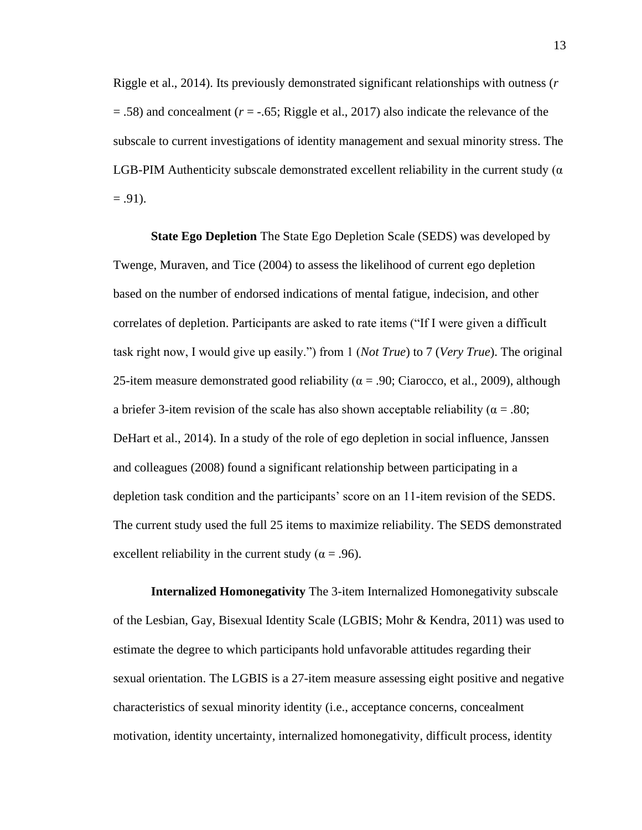Riggle et al., 2014). Its previously demonstrated significant relationships with outness (*r*  $= .58$ ) and concealment ( $r = -.65$ ; Riggle et al., 2017) also indicate the relevance of the subscale to current investigations of identity management and sexual minority stress. The LGB-PIM Authenticity subscale demonstrated excellent reliability in the current study ( $\alpha$ )  $= .91$ ).

**State Ego Depletion** The State Ego Depletion Scale (SEDS) was developed by Twenge, Muraven, and Tice (2004) to assess the likelihood of current ego depletion based on the number of endorsed indications of mental fatigue, indecision, and other correlates of depletion. Participants are asked to rate items ("If I were given a difficult task right now, I would give up easily.") from 1 (*Not True*) to 7 (*Very True*). The original 25-item measure demonstrated good reliability ( $\alpha$  = .90; Ciarocco, et al., 2009), although a briefer 3-item revision of the scale has also shown acceptable reliability ( $\alpha = .80$ ; DeHart et al., 2014). In a study of the role of ego depletion in social influence, Janssen and colleagues (2008) found a significant relationship between participating in a depletion task condition and the participants' score on an 11-item revision of the SEDS. The current study used the full 25 items to maximize reliability. The SEDS demonstrated excellent reliability in the current study ( $\alpha$  = .96).

**Internalized Homonegativity** The 3-item Internalized Homonegativity subscale of the Lesbian, Gay, Bisexual Identity Scale (LGBIS; Mohr & Kendra, 2011) was used to estimate the degree to which participants hold unfavorable attitudes regarding their sexual orientation. The LGBIS is a 27-item measure assessing eight positive and negative characteristics of sexual minority identity (i.e., acceptance concerns, concealment motivation, identity uncertainty, internalized homonegativity, difficult process, identity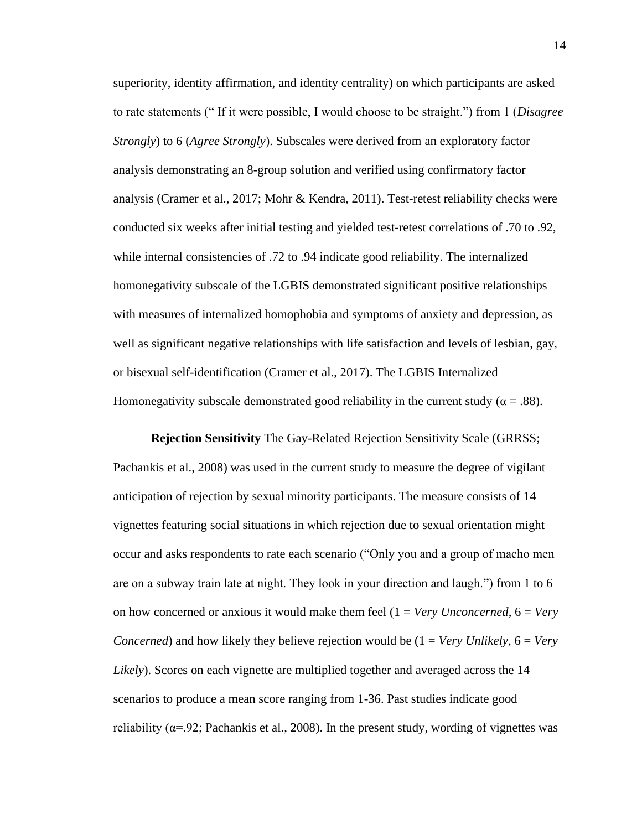superiority, identity affirmation, and identity centrality) on which participants are asked to rate statements (" If it were possible, I would choose to be straight.") from 1 (*Disagree Strongly*) to 6 (*Agree Strongly*). Subscales were derived from an exploratory factor analysis demonstrating an 8-group solution and verified using confirmatory factor analysis (Cramer et al., 2017; Mohr & Kendra, 2011). Test-retest reliability checks were conducted six weeks after initial testing and yielded test-retest correlations of .70 to .92, while internal consistencies of .72 to .94 indicate good reliability. The internalized homonegativity subscale of the LGBIS demonstrated significant positive relationships with measures of internalized homophobia and symptoms of anxiety and depression, as well as significant negative relationships with life satisfaction and levels of lesbian, gay, or bisexual self-identification (Cramer et al., 2017). The LGBIS Internalized Homonegativity subscale demonstrated good reliability in the current study ( $\alpha = .88$ ).

**Rejection Sensitivity** The Gay-Related Rejection Sensitivity Scale (GRRSS; Pachankis et al., 2008) was used in the current study to measure the degree of vigilant anticipation of rejection by sexual minority participants. The measure consists of 14 vignettes featuring social situations in which rejection due to sexual orientation might occur and asks respondents to rate each scenario ("Only you and a group of macho men are on a subway train late at night. They look in your direction and laugh.") from 1 to 6 on how concerned or anxious it would make them feel (1 = *Very Unconcerned*, 6 = *Very Concerned*) and how likely they believe rejection would be  $(1 = Verv \text{ Unlikely}, 6 = Verv)$ *Likely*). Scores on each vignette are multiplied together and averaged across the 14 scenarios to produce a mean score ranging from 1-36. Past studies indicate good reliability ( $\alpha$ =.92; Pachankis et al., 2008). In the present study, wording of vignettes was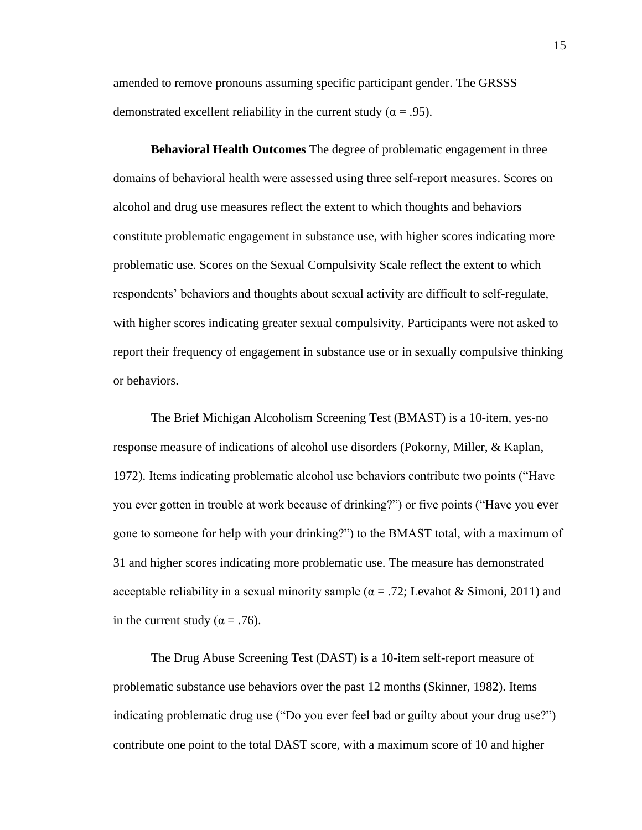amended to remove pronouns assuming specific participant gender. The GRSSS demonstrated excellent reliability in the current study ( $\alpha = .95$ ).

**Behavioral Health Outcomes** The degree of problematic engagement in three domains of behavioral health were assessed using three self-report measures. Scores on alcohol and drug use measures reflect the extent to which thoughts and behaviors constitute problematic engagement in substance use, with higher scores indicating more problematic use. Scores on the Sexual Compulsivity Scale reflect the extent to which respondents' behaviors and thoughts about sexual activity are difficult to self-regulate, with higher scores indicating greater sexual compulsivity. Participants were not asked to report their frequency of engagement in substance use or in sexually compulsive thinking or behaviors.

The Brief Michigan Alcoholism Screening Test (BMAST) is a 10-item, yes-no response measure of indications of alcohol use disorders (Pokorny, Miller, & Kaplan, 1972). Items indicating problematic alcohol use behaviors contribute two points ("Have you ever gotten in trouble at work because of drinking?") or five points ("Have you ever gone to someone for help with your drinking?") to the BMAST total, with a maximum of 31 and higher scores indicating more problematic use. The measure has demonstrated acceptable reliability in a sexual minority sample ( $\alpha = .72$ ; Levahot & Simoni, 2011) and in the current study ( $\alpha$  = .76).

The Drug Abuse Screening Test (DAST) is a 10-item self-report measure of problematic substance use behaviors over the past 12 months (Skinner, 1982). Items indicating problematic drug use ("Do you ever feel bad or guilty about your drug use?") contribute one point to the total DAST score, with a maximum score of 10 and higher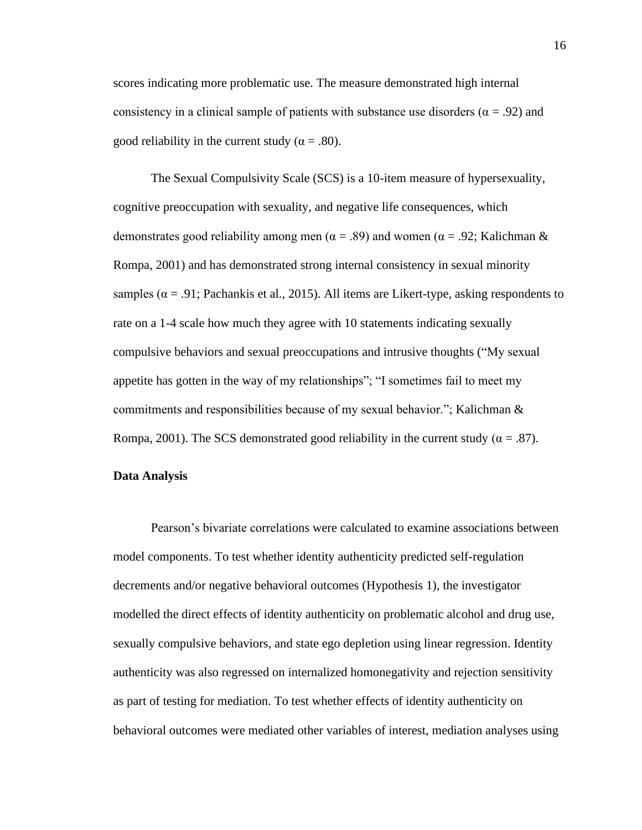scores indicating more problematic use. The measure demonstrated high internal consistency in a clinical sample of patients with substance use disorders ( $\alpha$  = .92) and good reliability in the current study ( $\alpha = .80$ ).

The Sexual Compulsivity Scale (SCS) is a 10-item measure of hypersexuality, cognitive preoccupation with sexuality, and negative life consequences, which demonstrates good reliability among men ( $\alpha = .89$ ) and women ( $\alpha = .92$ ; Kalichman & Rompa, 2001) and has demonstrated strong internal consistency in sexual minority samples ( $\alpha$  = .91; Pachankis et al., 2015). All items are Likert-type, asking respondents to rate on a 1-4 scale how much they agree with 10 statements indicating sexually compulsive behaviors and sexual preoccupations and intrusive thoughts ("My sexual appetite has gotten in the way of my relationships"; "I sometimes fail to meet my commitments and responsibilities because of my sexual behavior."; Kalichman & Rompa, 2001). The SCS demonstrated good reliability in the current study ( $\alpha = .87$ ).

#### **Data Analysis**

Pearson's bivariate correlations were calculated to examine associations between model components. To test whether identity authenticity predicted self-regulation decrements and/or negative behavioral outcomes (Hypothesis 1), the investigator modelled the direct effects of identity authenticity on problematic alcohol and drug use, sexually compulsive behaviors, and state ego depletion using linear regression. Identity authenticity was also regressed on internalized homonegativity and rejection sensitivity as part of testing for mediation. To test whether effects of identity authenticity on behavioral outcomes were mediated other variables of interest, mediation analyses using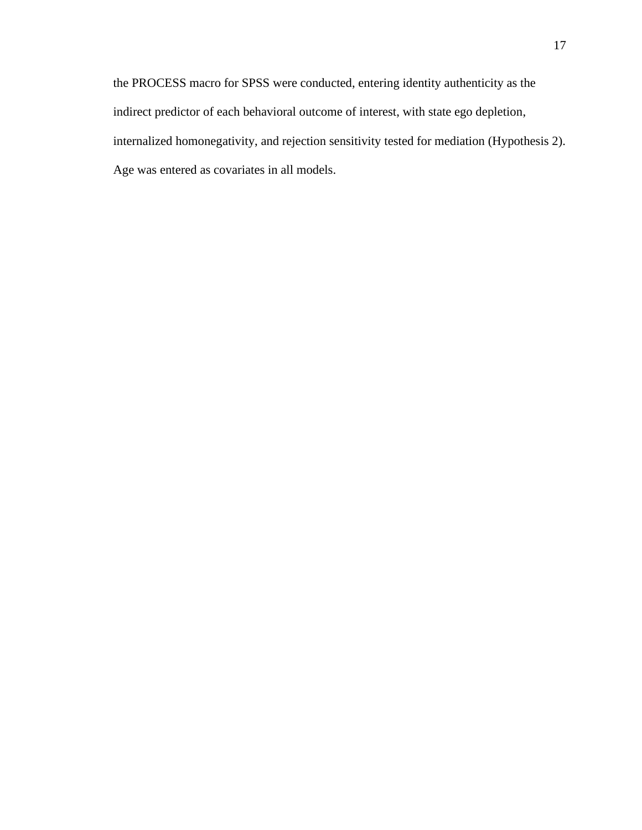the PROCESS macro for SPSS were conducted, entering identity authenticity as the indirect predictor of each behavioral outcome of interest, with state ego depletion, internalized homonegativity, and rejection sensitivity tested for mediation (Hypothesis 2). Age was entered as covariates in all models.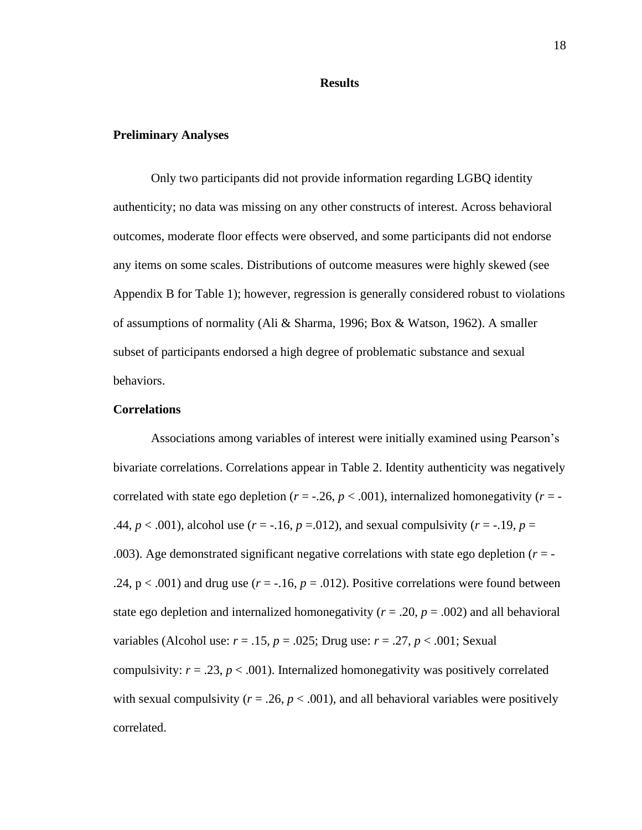#### **Results**

#### **Preliminary Analyses**

Only two participants did not provide information regarding LGBQ identity authenticity; no data was missing on any other constructs of interest. Across behavioral outcomes, moderate floor effects were observed, and some participants did not endorse any items on some scales. Distributions of outcome measures were highly skewed (see Appendix B for Table 1); however, regression is generally considered robust to violations of assumptions of normality (Ali & Sharma, 1996; Box & Watson, 1962). A smaller subset of participants endorsed a high degree of problematic substance and sexual behaviors.

#### **Correlations**

Associations among variables of interest were initially examined using Pearson's bivariate correlations. Correlations appear in Table 2. Identity authenticity was negatively correlated with state ego depletion ( $r = -0.26$ ,  $p < 0.001$ ), internalized homonegativity ( $r = -1$ ) .44,  $p < .001$ ), alcohol use ( $r = -.16$ ,  $p = .012$ ), and sexual compulsivity ( $r = -.19$ ,  $p = .14$ ) .003). Age demonstrated significant negative correlations with state ego depletion  $(r = -1)$ .24,  $p < .001$ ) and drug use ( $r = -.16$ ,  $p = .012$ ). Positive correlations were found between state ego depletion and internalized homonegativity ( $r = .20$ ,  $p = .002$ ) and all behavioral variables (Alcohol use:  $r = .15$ ,  $p = .025$ ; Drug use:  $r = .27$ ,  $p < .001$ ; Sexual compulsivity:  $r = .23$ ,  $p < .001$ ). Internalized homonegativity was positively correlated with sexual compulsivity ( $r = .26$ ,  $p < .001$ ), and all behavioral variables were positively correlated.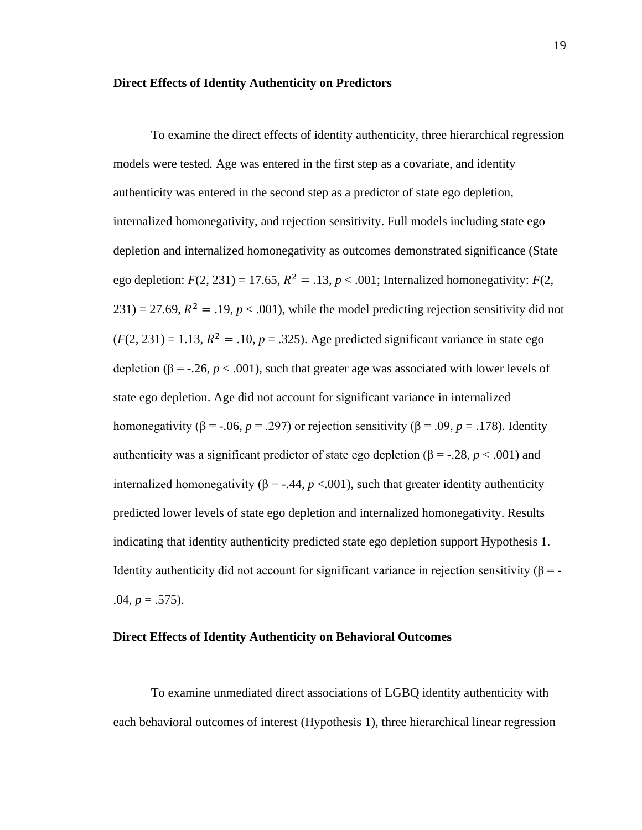#### **Direct Effects of Identity Authenticity on Predictors**

To examine the direct effects of identity authenticity, three hierarchical regression models were tested. Age was entered in the first step as a covariate, and identity authenticity was entered in the second step as a predictor of state ego depletion, internalized homonegativity, and rejection sensitivity. Full models including state ego depletion and internalized homonegativity as outcomes demonstrated significance (State ego depletion:  $F(2, 231) = 17.65$ ,  $R^2 = .13$ ,  $p < .001$ ; Internalized homonegativity:  $F(2, 1231) = .001$ ;  $231$ ) = 27.69,  $R^2$  = .19,  $p < .001$ ), while the model predicting rejection sensitivity did not  $(F(2, 231) = 1.13, R^2 = .10, p = .325)$ . Age predicted significant variance in state ego depletion ( $\beta$  = -.26,  $p < .001$ ), such that greater age was associated with lower levels of state ego depletion. Age did not account for significant variance in internalized homonegativity ( $\beta$  = -.06, *p* = .297) or rejection sensitivity ( $\beta$  = .09, *p* = .178). Identity authenticity was a significant predictor of state ego depletion ( $\beta$  = -.28, *p* < .001) and internalized homonegativity ( $β = -.44, p < .001$ ), such that greater identity authenticity predicted lower levels of state ego depletion and internalized homonegativity. Results indicating that identity authenticity predicted state ego depletion support Hypothesis 1. Identity authenticity did not account for significant variance in rejection sensitivity (β = - $.04, p = .575$ ).

#### **Direct Effects of Identity Authenticity on Behavioral Outcomes**

To examine unmediated direct associations of LGBQ identity authenticity with each behavioral outcomes of interest (Hypothesis 1), three hierarchical linear regression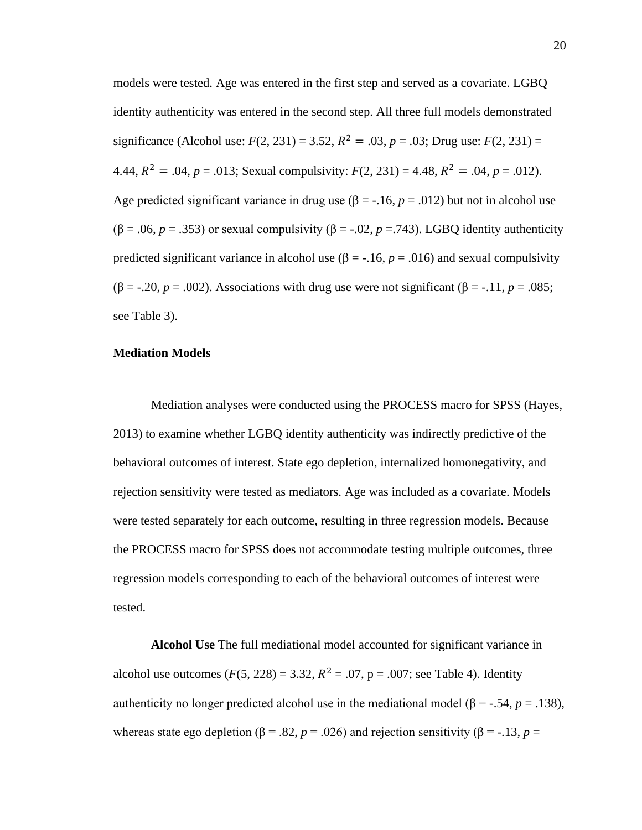models were tested. Age was entered in the first step and served as a covariate. LGBQ identity authenticity was entered in the second step. All three full models demonstrated significance (Alcohol use:  $F(2, 231) = 3.52$ ,  $R^2 = .03$ ,  $p = .03$ ; Drug use:  $F(2, 231) =$ 4.44,  $R^2 = .04$ ,  $p = .013$ ; Sexual compulsivity:  $F(2, 231) = 4.48$ ,  $R^2 = .04$ ,  $p = .012$ ). Age predicted significant variance in drug use ( $\beta$  = -.16,  $p$  = .012) but not in alcohol use ( $\beta$  = .06, *p* = .353) or sexual compulsivity ( $\beta$  = -.02, *p* = .743). LGBQ identity authenticity predicted significant variance in alcohol use  $(\beta = -.16, p = .016)$  and sexual compulsivity ( $\beta$  = -.20, *p* = .002). Associations with drug use were not significant ( $\beta$  = -.11, *p* = .085; see Table 3).

#### **Mediation Models**

Mediation analyses were conducted using the PROCESS macro for SPSS (Hayes, 2013) to examine whether LGBQ identity authenticity was indirectly predictive of the behavioral outcomes of interest. State ego depletion, internalized homonegativity, and rejection sensitivity were tested as mediators. Age was included as a covariate. Models were tested separately for each outcome, resulting in three regression models. Because the PROCESS macro for SPSS does not accommodate testing multiple outcomes, three regression models corresponding to each of the behavioral outcomes of interest were tested.

**Alcohol Use** The full mediational model accounted for significant variance in alcohol use outcomes  $(F(5, 228) = 3.32, R^2 = .07, p = .007;$  see Table 4). Identity authenticity no longer predicted alcohol use in the mediational model (β = -.54, *p* = .138), whereas state ego depletion ( $\beta$  = .82, *p* = .026) and rejection sensitivity ( $\beta$  = -.13, *p* =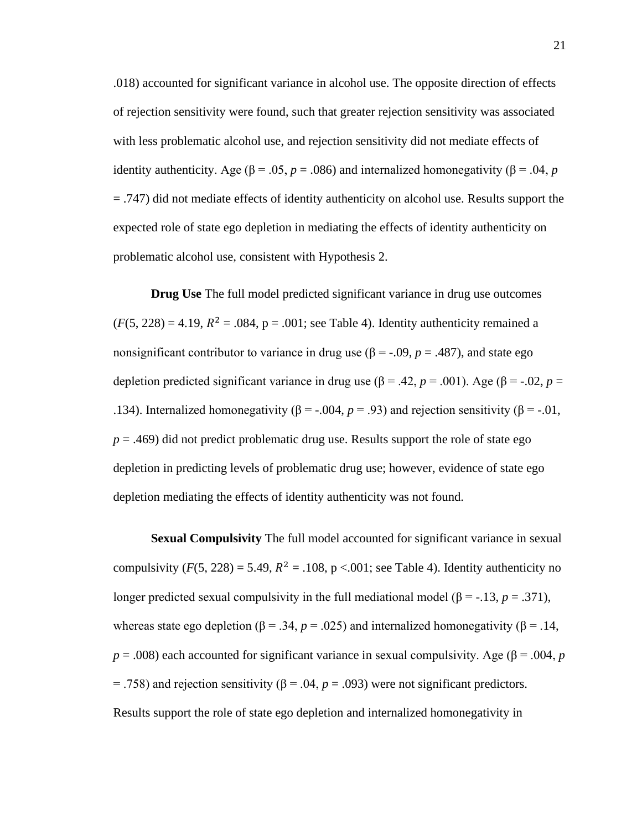.018) accounted for significant variance in alcohol use. The opposite direction of effects of rejection sensitivity were found, such that greater rejection sensitivity was associated with less problematic alcohol use, and rejection sensitivity did not mediate effects of identity authenticity. Age ( $\beta$  = .05, *p* = .086) and internalized homonegativity ( $\beta$  = .04, *p* = .747) did not mediate effects of identity authenticity on alcohol use. Results support the expected role of state ego depletion in mediating the effects of identity authenticity on problematic alcohol use, consistent with Hypothesis 2.

**Drug Use** The full model predicted significant variance in drug use outcomes  $(F(5, 228) = 4.19, R^2 = .084, p = .001$ ; see Table 4). Identity authenticity remained a nonsignificant contributor to variance in drug use ( $\beta$  = -.09,  $p$  = .487), and state ego depletion predicted significant variance in drug use ( $\beta$  = .42, *p* = .001). Age ( $\beta$  = -.02, *p* = .134). Internalized homonegativity ( $β = -0.004$ ,  $p = 0.93$ ) and rejection sensitivity ( $β = -0.01$ ,  $p = .469$ ) did not predict problematic drug use. Results support the role of state ego depletion in predicting levels of problematic drug use; however, evidence of state ego depletion mediating the effects of identity authenticity was not found.

**Sexual Compulsivity** The full model accounted for significant variance in sexual compulsivity  $(F(5, 228) = 5.49, R^2 = .108, p < .001$ ; see Table 4). Identity authenticity no longer predicted sexual compulsivity in the full mediational model ( $\beta$  = -.13, *p* = .371), whereas state ego depletion ( $\beta$  = .34,  $p$  = .025) and internalized homonegativity ( $\beta$  = .14,  $p = .008$ ) each accounted for significant variance in sexual compulsivity. Age ( $\beta = .004$ , *p*  $=$  .758) and rejection sensitivity (β = .04, *p* = .093) were not significant predictors. Results support the role of state ego depletion and internalized homonegativity in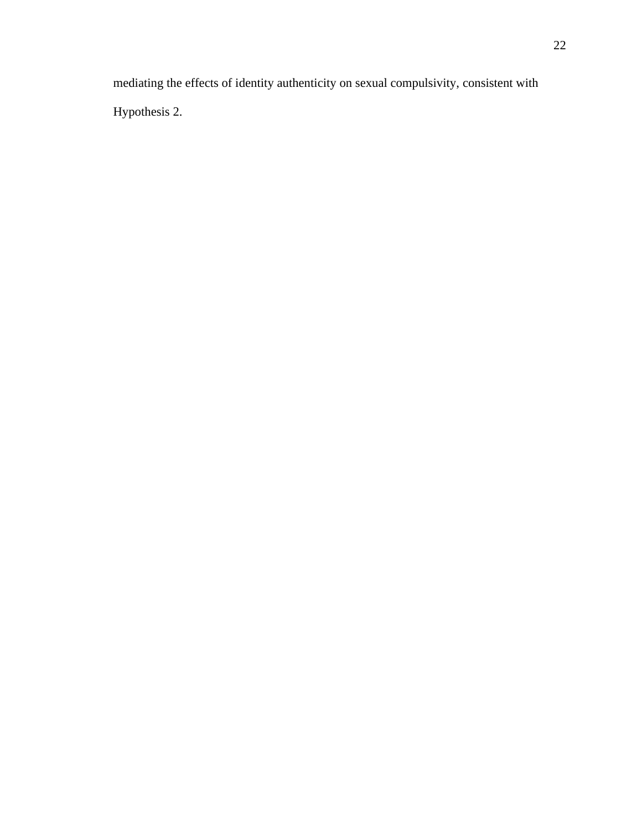mediating the effects of identity authenticity on sexual compulsivity, consistent with Hypothesis 2.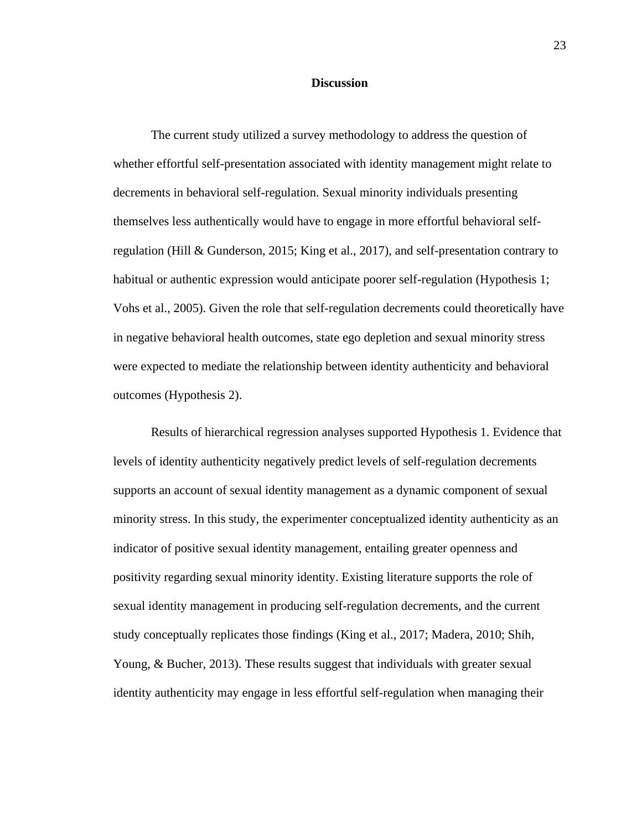#### **Discussion**

The current study utilized a survey methodology to address the question of whether effortful self-presentation associated with identity management might relate to decrements in behavioral self-regulation. Sexual minority individuals presenting themselves less authentically would have to engage in more effortful behavioral selfregulation (Hill & Gunderson, 2015; King et al., 2017), and self-presentation contrary to habitual or authentic expression would anticipate poorer self-regulation (Hypothesis 1; Vohs et al., 2005). Given the role that self-regulation decrements could theoretically have in negative behavioral health outcomes, state ego depletion and sexual minority stress were expected to mediate the relationship between identity authenticity and behavioral outcomes (Hypothesis 2).

Results of hierarchical regression analyses supported Hypothesis 1. Evidence that levels of identity authenticity negatively predict levels of self-regulation decrements supports an account of sexual identity management as a dynamic component of sexual minority stress. In this study, the experimenter conceptualized identity authenticity as an indicator of positive sexual identity management, entailing greater openness and positivity regarding sexual minority identity. Existing literature supports the role of sexual identity management in producing self-regulation decrements, and the current study conceptually replicates those findings (King et al., 2017; Madera, 2010; Shih, Young, & Bucher, 2013). These results suggest that individuals with greater sexual identity authenticity may engage in less effortful self-regulation when managing their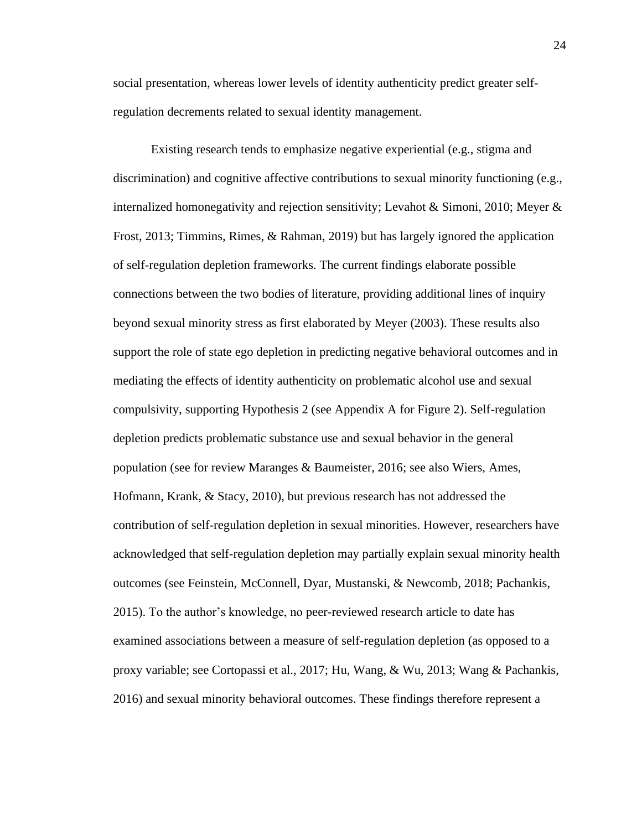social presentation, whereas lower levels of identity authenticity predict greater selfregulation decrements related to sexual identity management.

Existing research tends to emphasize negative experiential (e.g., stigma and discrimination) and cognitive affective contributions to sexual minority functioning (e.g., internalized homonegativity and rejection sensitivity; Levahot & Simoni, 2010; Meyer & Frost, 2013; Timmins, Rimes, & Rahman, 2019) but has largely ignored the application of self-regulation depletion frameworks. The current findings elaborate possible connections between the two bodies of literature, providing additional lines of inquiry beyond sexual minority stress as first elaborated by Meyer (2003). These results also support the role of state ego depletion in predicting negative behavioral outcomes and in mediating the effects of identity authenticity on problematic alcohol use and sexual compulsivity, supporting Hypothesis 2 (see Appendix A for Figure 2). Self-regulation depletion predicts problematic substance use and sexual behavior in the general population (see for review Maranges & Baumeister, 2016; see also Wiers, Ames, Hofmann, Krank, & Stacy, 2010), but previous research has not addressed the contribution of self-regulation depletion in sexual minorities. However, researchers have acknowledged that self-regulation depletion may partially explain sexual minority health outcomes (see Feinstein, McConnell, Dyar, Mustanski, & Newcomb, 2018; Pachankis, 2015). To the author's knowledge, no peer-reviewed research article to date has examined associations between a measure of self-regulation depletion (as opposed to a proxy variable; see Cortopassi et al., 2017; Hu, Wang, & Wu, 2013; Wang & Pachankis, 2016) and sexual minority behavioral outcomes. These findings therefore represent a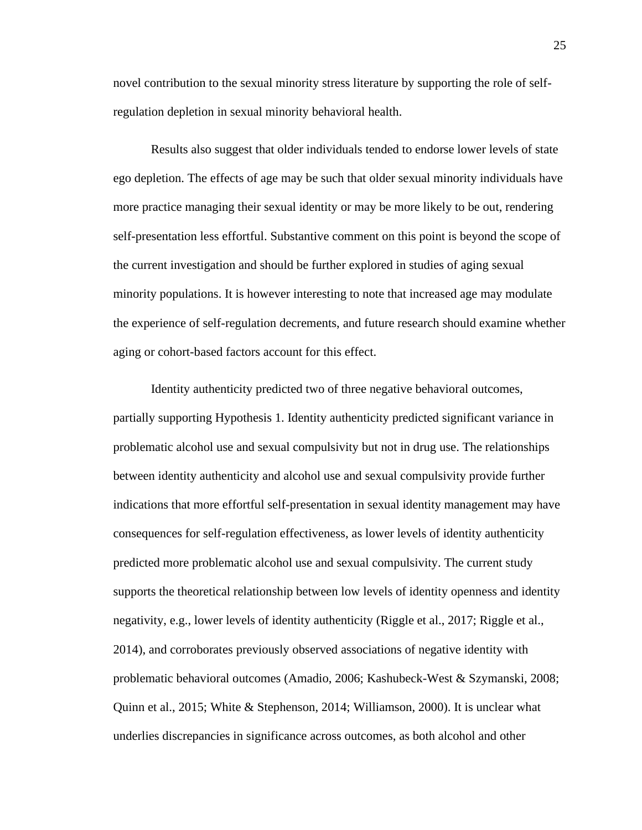novel contribution to the sexual minority stress literature by supporting the role of selfregulation depletion in sexual minority behavioral health.

Results also suggest that older individuals tended to endorse lower levels of state ego depletion. The effects of age may be such that older sexual minority individuals have more practice managing their sexual identity or may be more likely to be out, rendering self-presentation less effortful. Substantive comment on this point is beyond the scope of the current investigation and should be further explored in studies of aging sexual minority populations. It is however interesting to note that increased age may modulate the experience of self-regulation decrements, and future research should examine whether aging or cohort-based factors account for this effect.

Identity authenticity predicted two of three negative behavioral outcomes, partially supporting Hypothesis 1. Identity authenticity predicted significant variance in problematic alcohol use and sexual compulsivity but not in drug use. The relationships between identity authenticity and alcohol use and sexual compulsivity provide further indications that more effortful self-presentation in sexual identity management may have consequences for self-regulation effectiveness, as lower levels of identity authenticity predicted more problematic alcohol use and sexual compulsivity. The current study supports the theoretical relationship between low levels of identity openness and identity negativity, e.g., lower levels of identity authenticity (Riggle et al., 2017; Riggle et al., 2014), and corroborates previously observed associations of negative identity with problematic behavioral outcomes (Amadio, 2006; Kashubeck-West & Szymanski, 2008; Quinn et al., 2015; White & Stephenson, 2014; Williamson, 2000). It is unclear what underlies discrepancies in significance across outcomes, as both alcohol and other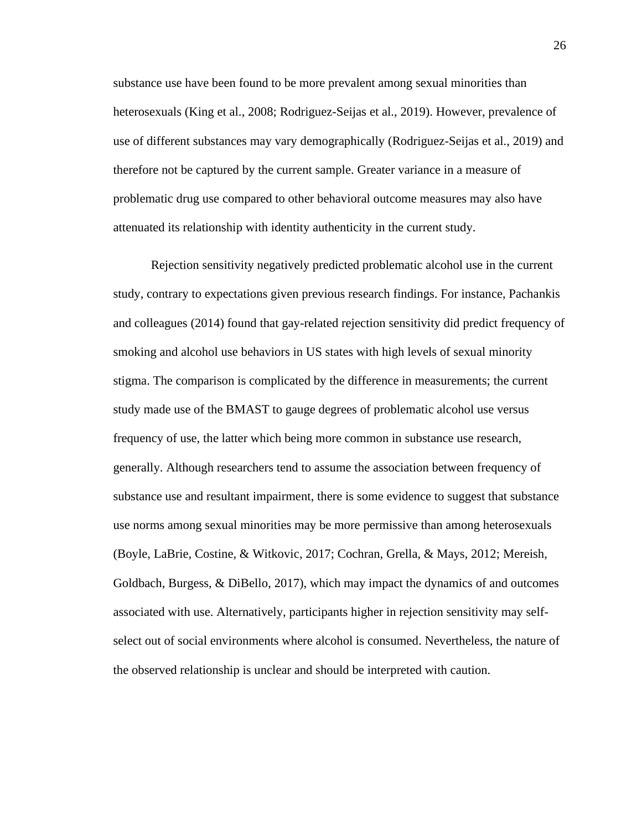substance use have been found to be more prevalent among sexual minorities than heterosexuals (King et al., 2008; Rodriguez-Seijas et al., 2019). However, prevalence of use of different substances may vary demographically (Rodriguez-Seijas et al., 2019) and therefore not be captured by the current sample. Greater variance in a measure of problematic drug use compared to other behavioral outcome measures may also have attenuated its relationship with identity authenticity in the current study.

Rejection sensitivity negatively predicted problematic alcohol use in the current study, contrary to expectations given previous research findings. For instance, Pachankis and colleagues (2014) found that gay-related rejection sensitivity did predict frequency of smoking and alcohol use behaviors in US states with high levels of sexual minority stigma. The comparison is complicated by the difference in measurements; the current study made use of the BMAST to gauge degrees of problematic alcohol use versus frequency of use, the latter which being more common in substance use research, generally. Although researchers tend to assume the association between frequency of substance use and resultant impairment, there is some evidence to suggest that substance use norms among sexual minorities may be more permissive than among heterosexuals (Boyle, LaBrie, Costine, & Witkovic, 2017; Cochran, Grella, & Mays, 2012; Mereish, Goldbach, Burgess, & DiBello, 2017), which may impact the dynamics of and outcomes associated with use. Alternatively, participants higher in rejection sensitivity may selfselect out of social environments where alcohol is consumed. Nevertheless, the nature of the observed relationship is unclear and should be interpreted with caution.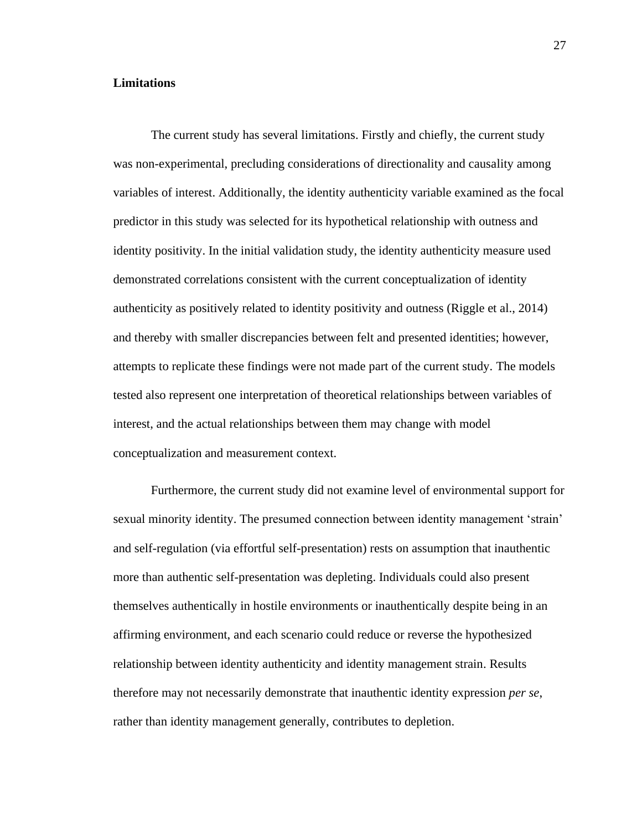#### **Limitations**

The current study has several limitations. Firstly and chiefly, the current study was non-experimental, precluding considerations of directionality and causality among variables of interest. Additionally, the identity authenticity variable examined as the focal predictor in this study was selected for its hypothetical relationship with outness and identity positivity. In the initial validation study, the identity authenticity measure used demonstrated correlations consistent with the current conceptualization of identity authenticity as positively related to identity positivity and outness (Riggle et al., 2014) and thereby with smaller discrepancies between felt and presented identities; however, attempts to replicate these findings were not made part of the current study. The models tested also represent one interpretation of theoretical relationships between variables of interest, and the actual relationships between them may change with model conceptualization and measurement context.

Furthermore, the current study did not examine level of environmental support for sexual minority identity. The presumed connection between identity management 'strain' and self-regulation (via effortful self-presentation) rests on assumption that inauthentic more than authentic self-presentation was depleting. Individuals could also present themselves authentically in hostile environments or inauthentically despite being in an affirming environment, and each scenario could reduce or reverse the hypothesized relationship between identity authenticity and identity management strain. Results therefore may not necessarily demonstrate that inauthentic identity expression *per se*, rather than identity management generally, contributes to depletion.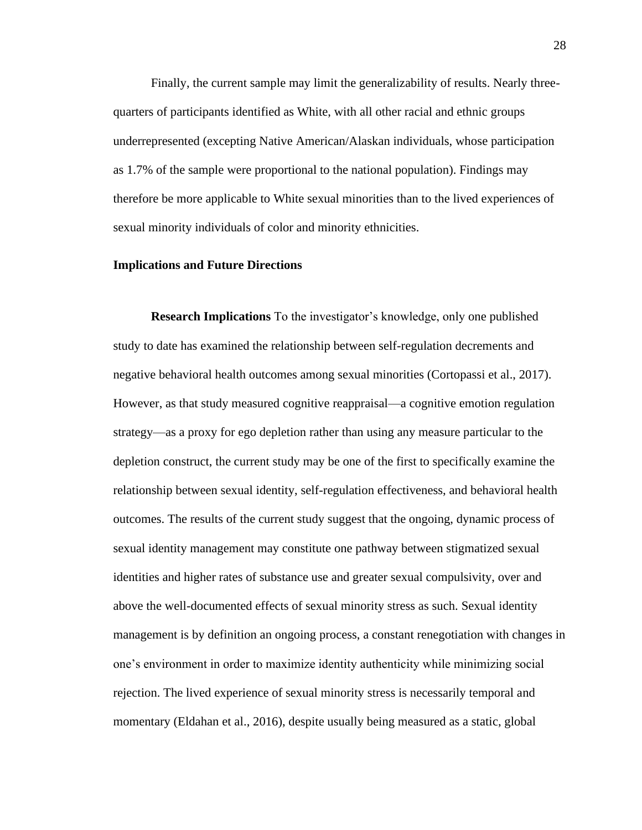Finally, the current sample may limit the generalizability of results. Nearly threequarters of participants identified as White, with all other racial and ethnic groups underrepresented (excepting Native American/Alaskan individuals, whose participation as 1.7% of the sample were proportional to the national population). Findings may therefore be more applicable to White sexual minorities than to the lived experiences of sexual minority individuals of color and minority ethnicities.

#### **Implications and Future Directions**

**Research Implications** To the investigator's knowledge, only one published study to date has examined the relationship between self-regulation decrements and negative behavioral health outcomes among sexual minorities (Cortopassi et al., 2017). However, as that study measured cognitive reappraisal—a cognitive emotion regulation strategy—as a proxy for ego depletion rather than using any measure particular to the depletion construct, the current study may be one of the first to specifically examine the relationship between sexual identity, self-regulation effectiveness, and behavioral health outcomes. The results of the current study suggest that the ongoing, dynamic process of sexual identity management may constitute one pathway between stigmatized sexual identities and higher rates of substance use and greater sexual compulsivity, over and above the well-documented effects of sexual minority stress as such. Sexual identity management is by definition an ongoing process, a constant renegotiation with changes in one's environment in order to maximize identity authenticity while minimizing social rejection. The lived experience of sexual minority stress is necessarily temporal and momentary (Eldahan et al., 2016), despite usually being measured as a static, global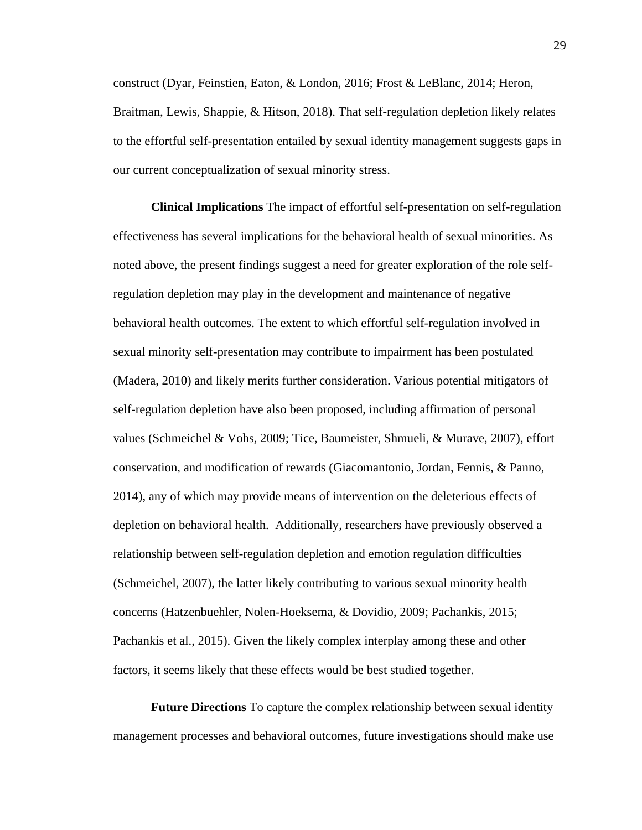construct (Dyar, Feinstien, Eaton, & London, 2016; Frost & LeBlanc, 2014; Heron, Braitman, Lewis, Shappie, & Hitson, 2018). That self-regulation depletion likely relates to the effortful self-presentation entailed by sexual identity management suggests gaps in our current conceptualization of sexual minority stress.

**Clinical Implications** The impact of effortful self-presentation on self-regulation effectiveness has several implications for the behavioral health of sexual minorities. As noted above, the present findings suggest a need for greater exploration of the role selfregulation depletion may play in the development and maintenance of negative behavioral health outcomes. The extent to which effortful self-regulation involved in sexual minority self-presentation may contribute to impairment has been postulated (Madera, 2010) and likely merits further consideration. Various potential mitigators of self-regulation depletion have also been proposed, including affirmation of personal values (Schmeichel & Vohs, 2009; Tice, Baumeister, Shmueli, & Murave, 2007), effort conservation, and modification of rewards (Giacomantonio, Jordan, Fennis, & Panno, 2014), any of which may provide means of intervention on the deleterious effects of depletion on behavioral health. Additionally, researchers have previously observed a relationship between self-regulation depletion and emotion regulation difficulties (Schmeichel, 2007), the latter likely contributing to various sexual minority health concerns (Hatzenbuehler, Nolen-Hoeksema, & Dovidio, 2009; Pachankis, 2015; Pachankis et al., 2015). Given the likely complex interplay among these and other factors, it seems likely that these effects would be best studied together.

**Future Directions** To capture the complex relationship between sexual identity management processes and behavioral outcomes, future investigations should make use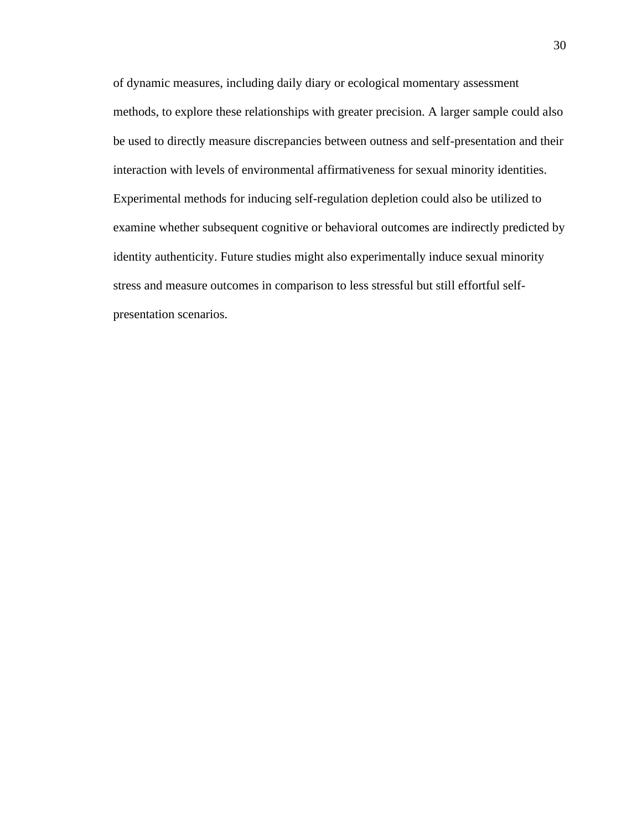of dynamic measures, including daily diary or ecological momentary assessment methods, to explore these relationships with greater precision. A larger sample could also be used to directly measure discrepancies between outness and self-presentation and their interaction with levels of environmental affirmativeness for sexual minority identities. Experimental methods for inducing self-regulation depletion could also be utilized to examine whether subsequent cognitive or behavioral outcomes are indirectly predicted by identity authenticity. Future studies might also experimentally induce sexual minority stress and measure outcomes in comparison to less stressful but still effortful selfpresentation scenarios.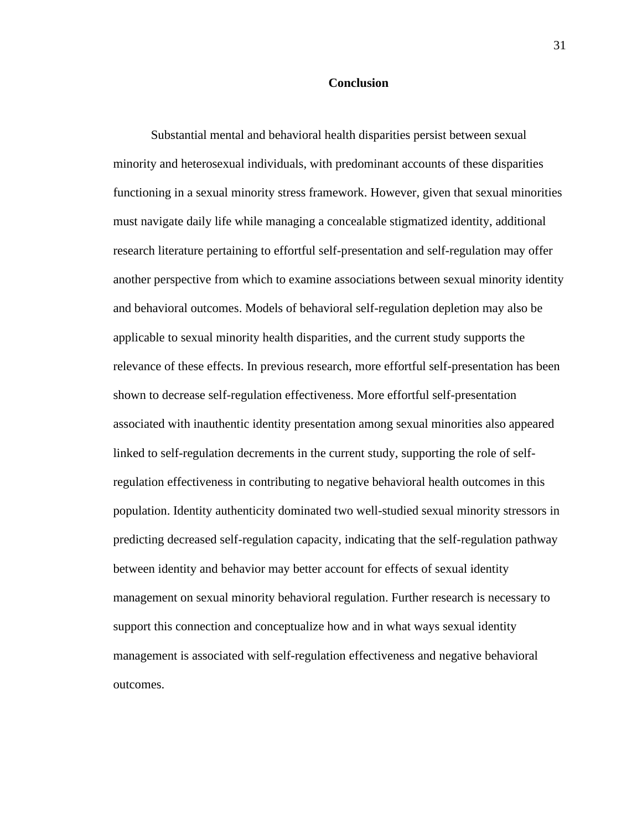#### **Conclusion**

Substantial mental and behavioral health disparities persist between sexual minority and heterosexual individuals, with predominant accounts of these disparities functioning in a sexual minority stress framework. However, given that sexual minorities must navigate daily life while managing a concealable stigmatized identity, additional research literature pertaining to effortful self-presentation and self-regulation may offer another perspective from which to examine associations between sexual minority identity and behavioral outcomes. Models of behavioral self-regulation depletion may also be applicable to sexual minority health disparities, and the current study supports the relevance of these effects. In previous research, more effortful self-presentation has been shown to decrease self-regulation effectiveness. More effortful self-presentation associated with inauthentic identity presentation among sexual minorities also appeared linked to self-regulation decrements in the current study, supporting the role of selfregulation effectiveness in contributing to negative behavioral health outcomes in this population. Identity authenticity dominated two well-studied sexual minority stressors in predicting decreased self-regulation capacity, indicating that the self-regulation pathway between identity and behavior may better account for effects of sexual identity management on sexual minority behavioral regulation. Further research is necessary to support this connection and conceptualize how and in what ways sexual identity management is associated with self-regulation effectiveness and negative behavioral outcomes.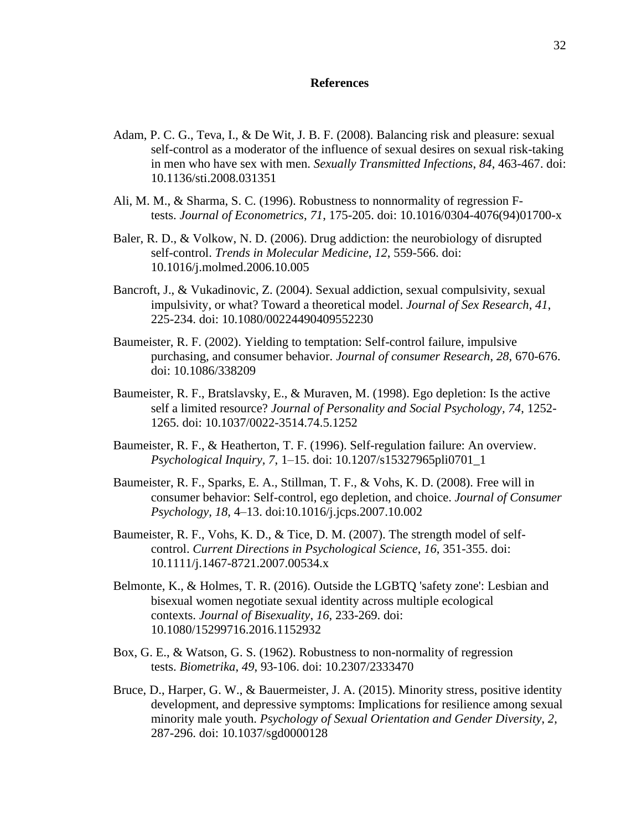#### **References**

- Adam, P. C. G., Teva, I., & De Wit, J. B. F. (2008). Balancing risk and pleasure: sexual self-control as a moderator of the influence of sexual desires on sexual risk-taking in men who have sex with men. *Sexually Transmitted Infections*, *84*, 463-467. doi: 10.1136/sti.2008.031351
- Ali, M. M., & Sharma, S. C. (1996). Robustness to nonnormality of regression Ftests. *Journal of Econometrics*, *71*, 175-205. doi: 10.1016/0304-4076(94)01700-x
- Baler, R. D., & Volkow, N. D. (2006). Drug addiction: the neurobiology of disrupted self-control. *Trends in Molecular Medicine*, *12*, 559-566. doi: 10.1016/j.molmed.2006.10.005
- Bancroft, J., & Vukadinovic, Z. (2004). Sexual addiction, sexual compulsivity, sexual impulsivity, or what? Toward a theoretical model. *Journal of Sex Research*, *41*, 225-234. doi: 10.1080/00224490409552230
- Baumeister, R. F. (2002). Yielding to temptation: Self-control failure, impulsive purchasing, and consumer behavior. *Journal of consumer Research*, *28*, 670-676. doi: 10.1086/338209
- Baumeister, R. F., Bratslavsky, E., & Muraven, M. (1998). Ego depletion: Is the active self a limited resource? *Journal of Personality and Social Psychology, 74*, 1252- 1265. doi: 10.1037/0022-3514.74.5.1252
- Baumeister, R. F., & Heatherton, T. F. (1996). Self-regulation failure: An overview. *Psychological Inquiry, 7*, 1–15. doi: 10.1207/s15327965pli0701\_1
- Baumeister, R. F., Sparks, E. A., Stillman, T. F., & Vohs, K. D. (2008). Free will in consumer behavior: Self-control, ego depletion, and choice. *Journal of Consumer Psychology, 18*, 4–13. doi:10.1016/j.jcps.2007.10.002
- Baumeister, R. F., Vohs, K. D., & Tice, D. M. (2007). The strength model of selfcontrol. *Current Directions in Psychological Science*, *16*, 351-355. doi: 10.1111/j.1467-8721.2007.00534.x
- Belmonte, K., & Holmes, T. R. (2016). Outside the LGBTQ 'safety zone': Lesbian and bisexual women negotiate sexual identity across multiple ecological contexts. *Journal of Bisexuality*, *16*, 233-269. doi: 10.1080/15299716.2016.1152932
- Box, G. E., & Watson, G. S. (1962). Robustness to non-normality of regression tests. *Biometrika*, *49*, 93-106. doi: 10.2307/2333470
- Bruce, D., Harper, G. W., & Bauermeister, J. A. (2015). Minority stress, positive identity development, and depressive symptoms: Implications for resilience among sexual minority male youth. *Psychology of Sexual Orientation and Gender Diversity*, *2*, 287-296. doi: 10.1037/sgd0000128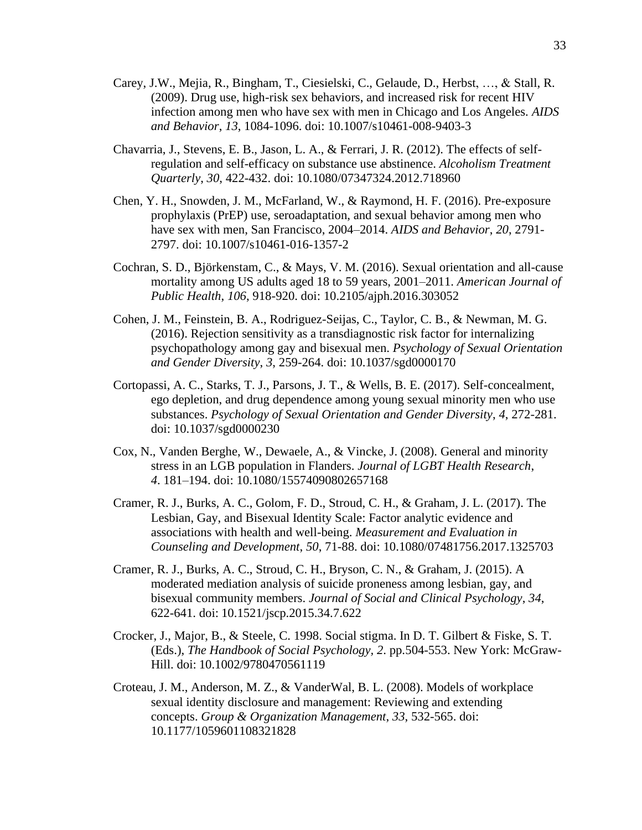- Carey, J.W., Mejia, R., Bingham, T., Ciesielski, C., Gelaude, D., Herbst, …, & Stall, R. (2009). Drug use, high-risk sex behaviors, and increased risk for recent HIV infection among men who have sex with men in Chicago and Los Angeles. *AIDS and Behavior*, *13*, 1084-1096. doi: 10.1007/s10461-008-9403-3
- Chavarria, J., Stevens, E. B., Jason, L. A., & Ferrari, J. R. (2012). The effects of selfregulation and self-efficacy on substance use abstinence. *Alcoholism Treatment Quarterly*, *30*, 422-432. doi: 10.1080/07347324.2012.718960
- Chen, Y. H., Snowden, J. M., McFarland, W., & Raymond, H. F. (2016). Pre-exposure prophylaxis (PrEP) use, seroadaptation, and sexual behavior among men who have sex with men, San Francisco, 2004–2014. *AIDS and Behavior*, *20*, 2791- 2797. doi: 10.1007/s10461-016-1357-2
- Cochran, S. D., Björkenstam, C., & Mays, V. M. (2016). Sexual orientation and all-cause mortality among US adults aged 18 to 59 years, 2001–2011. *American Journal of Public Health*, *106*, 918-920. doi: 10.2105/ajph.2016.303052
- Cohen, J. M., Feinstein, B. A., Rodriguez-Seijas, C., Taylor, C. B., & Newman, M. G. (2016). Rejection sensitivity as a transdiagnostic risk factor for internalizing psychopathology among gay and bisexual men. *Psychology of Sexual Orientation and Gender Diversity*, *3*, 259-264. doi: 10.1037/sgd0000170
- Cortopassi, A. C., Starks, T. J., Parsons, J. T., & Wells, B. E. (2017). Self-concealment, ego depletion, and drug dependence among young sexual minority men who use substances. *Psychology of Sexual Orientation and Gender Diversity*, *4*, 272-281. doi: 10.1037/sgd0000230
- Cox, N., Vanden Berghe, W., Dewaele, A., & Vincke, J. (2008). General and minority stress in an LGB population in Flanders. *Journal of LGBT Health Research*, *4*. 181–194. doi: 10.1080/15574090802657168
- Cramer, R. J., Burks, A. C., Golom, F. D., Stroud, C. H., & Graham, J. L. (2017). The Lesbian, Gay, and Bisexual Identity Scale: Factor analytic evidence and associations with health and well-being. *Measurement and Evaluation in Counseling and Development*, *50*, 71-88. doi: 10.1080/07481756.2017.1325703
- Cramer, R. J., Burks, A. C., Stroud, C. H., Bryson, C. N., & Graham, J. (2015). A moderated mediation analysis of suicide proneness among lesbian, gay, and bisexual community members. *Journal of Social and Clinical Psychology*, *34*, 622-641. doi: 10.1521/jscp.2015.34.7.622
- Crocker, J., Major, B., & Steele, C. 1998. Social stigma. In D. T. Gilbert & Fiske, S. T. (Eds.), *The Handbook of Social Psychology, 2*. pp.504-553. New York: McGraw-Hill. doi: 10.1002/9780470561119
- Croteau, J. M., Anderson, M. Z., & VanderWal, B. L. (2008). Models of workplace sexual identity disclosure and management: Reviewing and extending concepts. *Group & Organization Management*, *33*, 532-565. doi: 10.1177/1059601108321828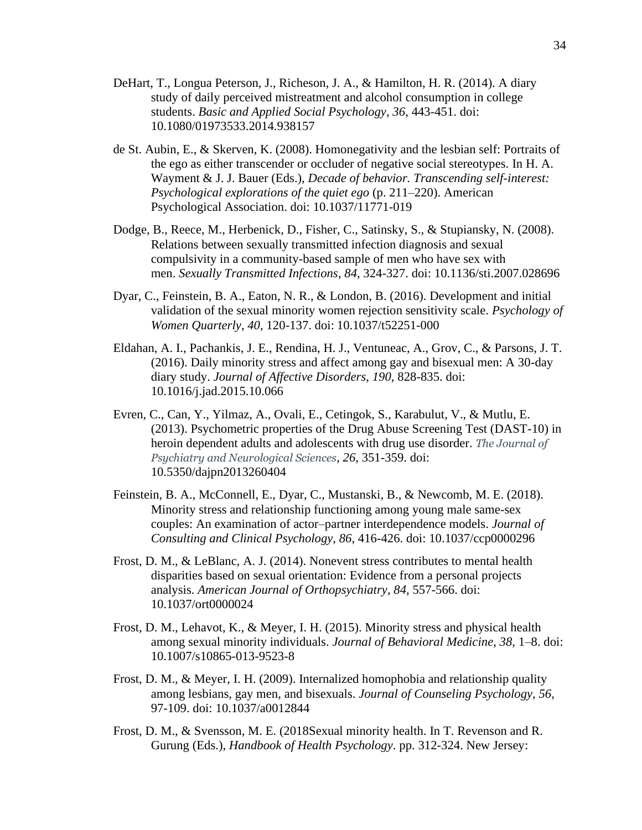- DeHart, T., Longua Peterson, J., Richeson, J. A., & Hamilton, H. R. (2014). A diary study of daily perceived mistreatment and alcohol consumption in college students. *Basic and Applied Social Psychology*, *36*, 443-451. doi: 10.1080/01973533.2014.938157
- de St. Aubin, E., & Skerven, K. (2008). Homonegativity and the lesbian self: Portraits of the ego as either transcender or occluder of negative social stereotypes. In H. A. Wayment & J. J. Bauer (Eds.), *Decade of behavior. Transcending self-interest: Psychological explorations of the quiet ego* (p. 211–220). American Psychological Association. doi: 10.1037/11771-019
- Dodge, B., Reece, M., Herbenick, D., Fisher, C., Satinsky, S., & Stupiansky, N. (2008). Relations between sexually transmitted infection diagnosis and sexual compulsivity in a community-based sample of men who have sex with men. *Sexually Transmitted Infections*, *84*, 324-327. doi: 10.1136/sti.2007.028696
- Dyar, C., Feinstein, B. A., Eaton, N. R., & London, B. (2016). Development and initial validation of the sexual minority women rejection sensitivity scale. *Psychology of Women Quarterly*, *40*, 120-137. doi: 10.1037/t52251-000
- Eldahan, A. I., Pachankis, J. E., Rendina, H. J., Ventuneac, A., Grov, C., & Parsons, J. T. (2016). Daily minority stress and affect among gay and bisexual men: A 30-day diary study. *Journal of Affective Disorders*, *190*, 828-835. doi: 10.1016/j.jad.2015.10.066
- Evren, C., Can, Y., Yilmaz, A., Ovali, E., Cetingok, S., Karabulut, V., & Mutlu, E. (2013). Psychometric properties of the Drug Abuse Screening Test (DAST-10) in heroin dependent adults and adolescents with drug use disorder. *The Journal of Psychiatry and Neurological Sciences*, *26*, 351-359. doi: 10.5350/dajpn2013260404
- Feinstein, B. A., McConnell, E., Dyar, C., Mustanski, B., & Newcomb, M. E. (2018). Minority stress and relationship functioning among young male same-sex couples: An examination of actor–partner interdependence models. *Journal of Consulting and Clinical Psychology*, *86*, 416-426. doi: 10.1037/ccp0000296
- Frost, D. M., & LeBlanc, A. J. (2014). Nonevent stress contributes to mental health disparities based on sexual orientation: Evidence from a personal projects analysis. *American Journal of Orthopsychiatry*, *84*, 557-566. doi: 10.1037/ort0000024
- Frost, D. M., Lehavot, K., & Meyer, I. H. (2015). Minority stress and physical health among sexual minority individuals. *Journal of Behavioral Medicine*, *38*, 1–8. doi: 10.1007/s10865-013-9523-8
- Frost, D. M., & Meyer, I. H. (2009). Internalized homophobia and relationship quality among lesbians, gay men, and bisexuals. *Journal of Counseling Psychology*, *56*, 97-109. doi: 10.1037/a0012844
- Frost, D. M., & Svensson, M. E. (2018Sexual minority health. In T. Revenson and R. Gurung (Eds.), *Handbook of Health Psychology*. pp. 312-324. New Jersey: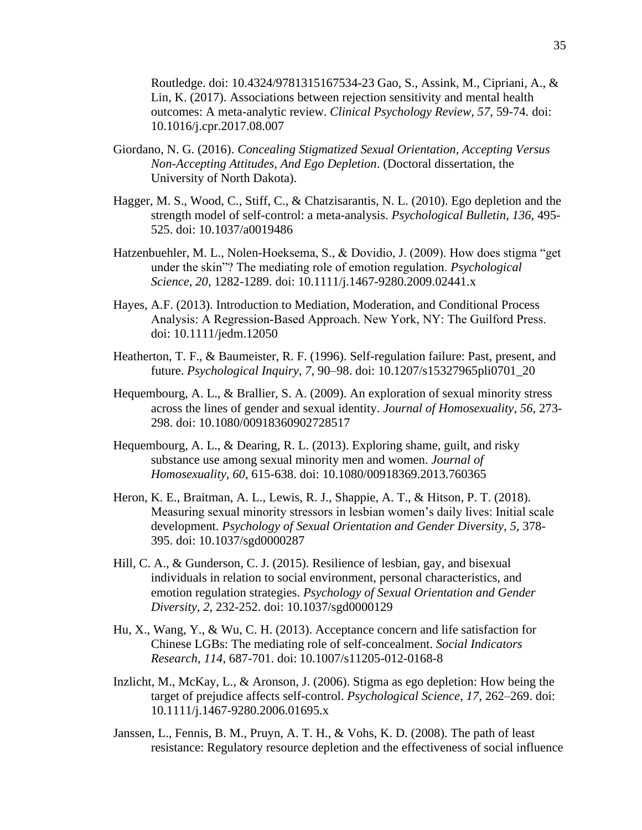Routledge. doi: 10.4324/9781315167534-23 Gao, S., Assink, M., Cipriani, A., & Lin, K. (2017). Associations between rejection sensitivity and mental health outcomes: A meta-analytic review. *Clinical Psychology Review*, *57*, 59-74. doi: 10.1016/j.cpr.2017.08.007

- Giordano, N. G. (2016). *Concealing Stigmatized Sexual Orientation, Accepting Versus Non-Accepting Attitudes, And Ego Depletion*. (Doctoral dissertation, the University of North Dakota).
- Hagger, M. S., Wood, C., Stiff, C., & Chatzisarantis, N. L. (2010). Ego depletion and the strength model of self-control: a meta-analysis. *Psychological Bulletin*, *136*, 495- 525. doi: 10.1037/a0019486
- Hatzenbuehler, M. L., Nolen-Hoeksema, S., & Dovidio, J. (2009). How does stigma "get under the skin"? The mediating role of emotion regulation. *Psychological Science*, *20*, 1282-1289. doi: 10.1111/j.1467-9280.2009.02441.x
- Hayes, A.F. (2013). Introduction to Mediation, Moderation, and Conditional Process Analysis: A Regression‐Based Approach. New York, NY: The Guilford Press. doi: 10.1111/jedm.12050
- Heatherton, T. F., & Baumeister, R. F. (1996). Self-regulation failure: Past, present, and future. *Psychological Inquiry, 7*, 90–98. doi: 10.1207/s15327965pli0701\_20
- Hequembourg, A. L., & Brallier, S. A. (2009). An exploration of sexual minority stress across the lines of gender and sexual identity. *Journal of Homosexuality*, *56*, 273- 298. doi: 10.1080/00918360902728517
- Hequembourg, A. L., & Dearing, R. L. (2013). Exploring shame, guilt, and risky substance use among sexual minority men and women. *Journal of Homosexuality*, *60*, 615-638. doi: 10.1080/00918369.2013.760365
- Heron, K. E., Braitman, A. L., Lewis, R. J., Shappie, A. T., & Hitson, P. T. (2018). Measuring sexual minority stressors in lesbian women's daily lives: Initial scale development. *Psychology of Sexual Orientation and Gender Diversity, 5,* 378- 395. doi: 10.1037/sgd0000287
- Hill, C. A., & Gunderson, C. J. (2015). Resilience of lesbian, gay, and bisexual individuals in relation to social environment, personal characteristics, and emotion regulation strategies. *Psychology of Sexual Orientation and Gender Diversity*, *2*, 232-252. doi: 10.1037/sgd0000129
- Hu, X., Wang, Y., & Wu, C. H. (2013). Acceptance concern and life satisfaction for Chinese LGBs: The mediating role of self-concealment. *Social Indicators Research*, *114*, 687-701. doi: 10.1007/s11205-012-0168-8
- Inzlicht, M., McKay, L., & Aronson, J. (2006). Stigma as ego depletion: How being the target of prejudice affects self-control. *Psychological Science*, *17*, 262–269. doi: 10.1111/j.1467-9280.2006.01695.x
- Janssen, L., Fennis, B. M., Pruyn, A. T. H., & Vohs, K. D. (2008). The path of least resistance: Regulatory resource depletion and the effectiveness of social influence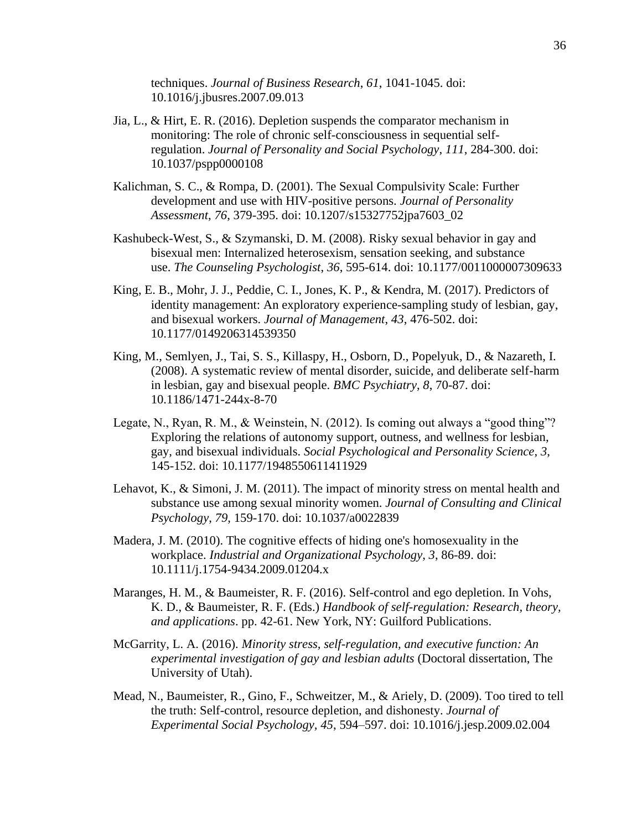techniques. *Journal of Business Research*, *61*, 1041-1045. doi: 10.1016/j.jbusres.2007.09.013

- Jia, L., & Hirt, E. R. (2016). Depletion suspends the comparator mechanism in monitoring: The role of chronic self-consciousness in sequential selfregulation. *Journal of Personality and Social Psychology*, *111*, 284-300. doi: 10.1037/pspp0000108
- Kalichman, S. C., & Rompa, D. (2001). The Sexual Compulsivity Scale: Further development and use with HIV-positive persons. *Journal of Personality Assessment*, *76*, 379-395. doi: 10.1207/s15327752jpa7603\_02
- Kashubeck-West, S., & Szymanski, D. M. (2008). Risky sexual behavior in gay and bisexual men: Internalized heterosexism, sensation seeking, and substance use. *The Counseling Psychologist*, *36*, 595-614. doi: 10.1177/0011000007309633
- King, E. B., Mohr, J. J., Peddie, C. I., Jones, K. P., & Kendra, M. (2017). Predictors of identity management: An exploratory experience-sampling study of lesbian, gay, and bisexual workers. *Journal of Management*, *43*, 476-502. doi: 10.1177/0149206314539350
- King, M., Semlyen, J., Tai, S. S., Killaspy, H., Osborn, D., Popelyuk, D., & Nazareth, I. (2008). A systematic review of mental disorder, suicide, and deliberate self-harm in lesbian, gay and bisexual people. *BMC Psychiatry*, *8*, 70-87. doi: 10.1186/1471-244x-8-70
- Legate, N., Ryan, R. M., & Weinstein, N. (2012). Is coming out always a "good thing"? Exploring the relations of autonomy support, outness, and wellness for lesbian, gay, and bisexual individuals. *Social Psychological and Personality Science*, *3*, 145-152. doi: 10.1177/1948550611411929
- Lehavot, K., & Simoni, J. M. (2011). The impact of minority stress on mental health and substance use among sexual minority women. *Journal of Consulting and Clinical Psychology*, *79*, 159-170. doi: 10.1037/a0022839
- Madera, J. M. (2010). The cognitive effects of hiding one's homosexuality in the workplace. *Industrial and Organizational Psychology*, *3*, 86-89. doi: 10.1111/j.1754-9434.2009.01204.x
- Maranges, H. M., & Baumeister, R. F. (2016). Self-control and ego depletion. In Vohs, K. D., & Baumeister, R. F. (Eds.) *Handbook of self-regulation: Research, theory, and applications*. pp. 42-61. New York, NY: Guilford Publications.
- McGarrity, L. A. (2016). *Minority stress, self-regulation, and executive function: An experimental investigation of gay and lesbian adults* (Doctoral dissertation, The University of Utah).
- Mead, N., Baumeister, R., Gino, F., Schweitzer, M., & Ariely, D. (2009). Too tired to tell the truth: Self-control, resource depletion, and dishonesty. *Journal of Experimental Social Psychology, 45*, 594–597. doi: 10.1016/j.jesp.2009.02.004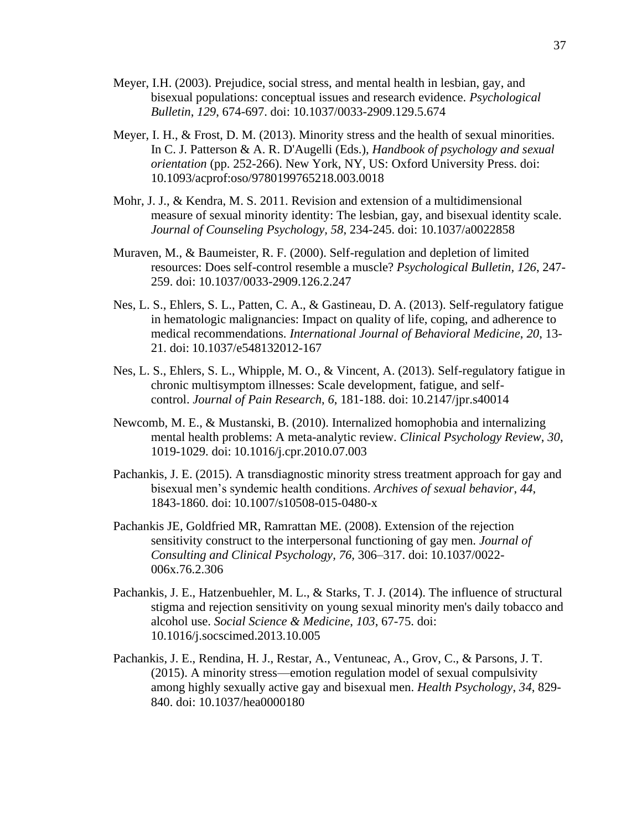- Meyer, I.H. (2003). Prejudice, social stress, and mental health in lesbian, gay, and bisexual populations: conceptual issues and research evidence. *Psychological Bulletin*, *129*, 674-697. doi: 10.1037/0033-2909.129.5.674
- Meyer, I. H., & Frost, D. M. (2013). Minority stress and the health of sexual minorities. In C. J. Patterson & A. R. D'Augelli (Eds.), *Handbook of psychology and sexual orientation* (pp. 252-266). New York, NY, US: Oxford University Press. doi: 10.1093/acprof:oso/9780199765218.003.0018
- Mohr, J. J., & Kendra, M. S. 2011. Revision and extension of a multidimensional measure of sexual minority identity: The lesbian, gay, and bisexual identity scale. *Journal of Counseling Psychology, 58*, 234-245. doi: 10.1037/a0022858
- Muraven, M., & Baumeister, R. F. (2000). Self-regulation and depletion of limited resources: Does self-control resemble a muscle? *Psychological Bulletin, 126*, 247- 259. doi: 10.1037/0033-2909.126.2.247
- Nes, L. S., Ehlers, S. L., Patten, C. A., & Gastineau, D. A. (2013). Self-regulatory fatigue in hematologic malignancies: Impact on quality of life, coping, and adherence to medical recommendations. *International Journal of Behavioral Medicine*, *20*, 13- 21. doi: 10.1037/e548132012-167
- Nes, L. S., Ehlers, S. L., Whipple, M. O., & Vincent, A. (2013). Self-regulatory fatigue in chronic multisymptom illnesses: Scale development, fatigue, and selfcontrol. *Journal of Pain Research*, *6*, 181-188. doi: 10.2147/jpr.s40014
- Newcomb, M. E., & Mustanski, B. (2010). Internalized homophobia and internalizing mental health problems: A meta-analytic review. *Clinical Psychology Review*, *30*, 1019-1029. doi: 10.1016/j.cpr.2010.07.003
- Pachankis, J. E. (2015). A transdiagnostic minority stress treatment approach for gay and bisexual men's syndemic health conditions. *Archives of sexual behavior*, *44*, 1843-1860. doi: 10.1007/s10508-015-0480-x
- Pachankis JE, Goldfried MR, Ramrattan ME. (2008). Extension of the rejection sensitivity construct to the interpersonal functioning of gay men. *Journal of Consulting and Clinical Psychology, 76,* 306–317. doi: 10.1037/0022- 006x.76.2.306
- Pachankis, J. E., Hatzenbuehler, M. L., & Starks, T. J. (2014). The influence of structural stigma and rejection sensitivity on young sexual minority men's daily tobacco and alcohol use. *Social Science & Medicine*, *103*, 67-75. doi: 10.1016/j.socscimed.2013.10.005
- Pachankis, J. E., Rendina, H. J., Restar, A., Ventuneac, A., Grov, C., & Parsons, J. T. (2015). A minority stress—emotion regulation model of sexual compulsivity among highly sexually active gay and bisexual men. *Health Psychology*, *34*, 829- 840. doi: 10.1037/hea0000180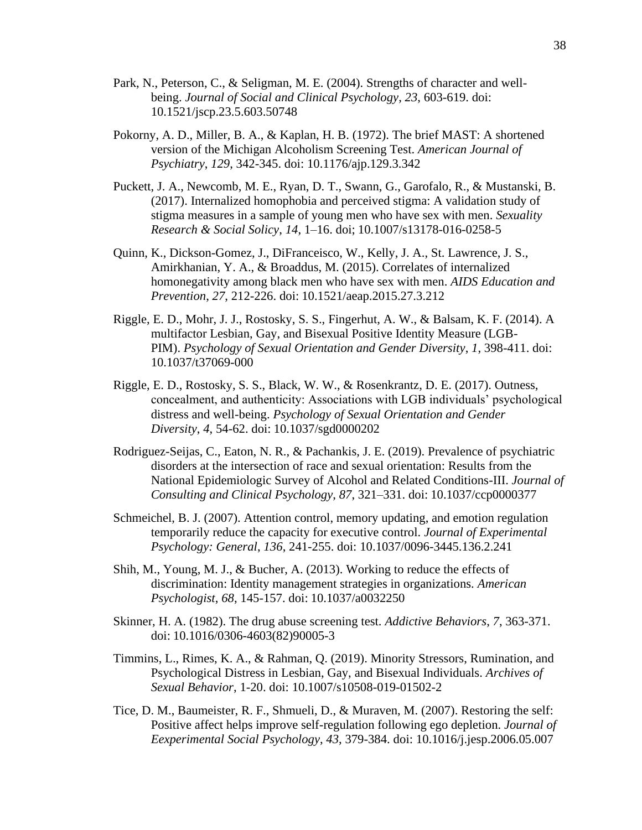- Park, N., Peterson, C., & Seligman, M. E. (2004). Strengths of character and wellbeing. *Journal of Social and Clinical Psychology*, *23*, 603-619. doi: 10.1521/jscp.23.5.603.50748
- Pokorny, A. D., Miller, B. A., & Kaplan, H. B. (1972). The brief MAST: A shortened version of the Michigan Alcoholism Screening Test. *American Journal of Psychiatry*, *129*, 342-345. doi: 10.1176/ajp.129.3.342
- Puckett, J. A., Newcomb, M. E., Ryan, D. T., Swann, G., Garofalo, R., & Mustanski, B. (2017). Internalized homophobia and perceived stigma: A validation study of stigma measures in a sample of young men who have sex with men. *Sexuality Research & Social Solicy*, *14*, 1–16. doi; 10.1007/s13178-016-0258-5
- Quinn, K., Dickson-Gomez, J., DiFranceisco, W., Kelly, J. A., St. Lawrence, J. S., Amirkhanian, Y. A., & Broaddus, M. (2015). Correlates of internalized homonegativity among black men who have sex with men. *AIDS Education and Prevention*, *27*, 212-226. doi: 10.1521/aeap.2015.27.3.212
- Riggle, E. D., Mohr, J. J., Rostosky, S. S., Fingerhut, A. W., & Balsam, K. F. (2014). A multifactor Lesbian, Gay, and Bisexual Positive Identity Measure (LGB-PIM). *Psychology of Sexual Orientation and Gender Diversity*, *1*, 398-411. doi: 10.1037/t37069-000
- Riggle, E. D., Rostosky, S. S., Black, W. W., & Rosenkrantz, D. E. (2017). Outness, concealment, and authenticity: Associations with LGB individuals' psychological distress and well-being. *Psychology of Sexual Orientation and Gender Diversity*, *4*, 54-62. doi: 10.1037/sgd0000202
- Rodriguez-Seijas, C., Eaton, N. R., & Pachankis, J. E. (2019). Prevalence of psychiatric disorders at the intersection of race and sexual orientation: Results from the National Epidemiologic Survey of Alcohol and Related Conditions-III. *Journal of Consulting and Clinical Psychology*, *87*, 321–331. doi: 10.1037/ccp0000377
- Schmeichel, B. J. (2007). Attention control, memory updating, and emotion regulation temporarily reduce the capacity for executive control. *Journal of Experimental Psychology: General*, *136*, 241-255. doi: 10.1037/0096-3445.136.2.241
- Shih, M., Young, M. J., & Bucher, A. (2013). Working to reduce the effects of discrimination: Identity management strategies in organizations. *American Psychologist*, *68*, 145-157. doi: 10.1037/a0032250
- Skinner, H. A. (1982). The drug abuse screening test. *Addictive Behaviors*, *7*, 363-371. doi: 10.1016/0306-4603(82)90005-3
- Timmins, L., Rimes, K. A., & Rahman, Q. (2019). Minority Stressors, Rumination, and Psychological Distress in Lesbian, Gay, and Bisexual Individuals. *Archives of Sexual Behavior*, 1-20. doi: 10.1007/s10508-019-01502-2
- Tice, D. M., Baumeister, R. F., Shmueli, D., & Muraven, M. (2007). Restoring the self: Positive affect helps improve self-regulation following ego depletion. *Journal of Eexperimental Social Psychology*, *43*, 379-384. doi: 10.1016/j.jesp.2006.05.007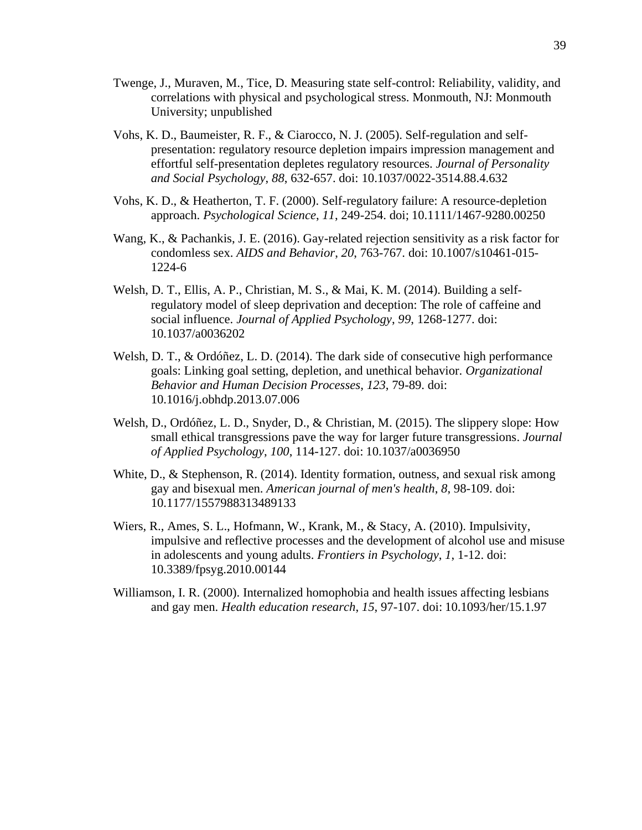- Twenge, J., Muraven, M., Tice, D. Measuring state self-control: Reliability, validity, and correlations with physical and psychological stress. Monmouth, NJ: Monmouth University; unpublished
- Vohs, K. D., Baumeister, R. F., & Ciarocco, N. J. (2005). Self-regulation and selfpresentation: regulatory resource depletion impairs impression management and effortful self-presentation depletes regulatory resources. *Journal of Personality and Social Psychology*, *88*, 632-657. doi: 10.1037/0022-3514.88.4.632
- Vohs, K. D., & Heatherton, T. F. (2000). Self-regulatory failure: A resource-depletion approach. *Psychological Science*, *11*, 249-254. doi; 10.1111/1467-9280.00250
- Wang, K., & Pachankis, J. E. (2016). Gay-related rejection sensitivity as a risk factor for condomless sex. *AIDS and Behavior*, *20*, 763-767. doi: 10.1007/s10461-015- 1224-6
- Welsh, D. T., Ellis, A. P., Christian, M. S., & Mai, K. M. (2014). Building a selfregulatory model of sleep deprivation and deception: The role of caffeine and social influence. *Journal of Applied Psychology*, *99*, 1268-1277. doi: 10.1037/a0036202
- Welsh, D. T., & Ordóñez, L. D. (2014). The dark side of consecutive high performance goals: Linking goal setting, depletion, and unethical behavior. *Organizational Behavior and Human Decision Processes*, *123*, 79-89. doi: 10.1016/j.obhdp.2013.07.006
- Welsh, D., Ordóñez, L. D., Snyder, D., & Christian, M. (2015). The slippery slope: How small ethical transgressions pave the way for larger future transgressions. *Journal of Applied Psychology*, *100*, 114-127. doi: 10.1037/a0036950
- White, D., & Stephenson, R. (2014). Identity formation, outness, and sexual risk among gay and bisexual men. *American journal of men's health*, *8*, 98-109. doi: 10.1177/1557988313489133
- Wiers, R., Ames, S. L., Hofmann, W., Krank, M., & Stacy, A. (2010). Impulsivity, impulsive and reflective processes and the development of alcohol use and misuse in adolescents and young adults. *Frontiers in Psychology*, *1*, 1-12. doi: 10.3389/fpsyg.2010.00144
- Williamson, I. R. (2000). Internalized homophobia and health issues affecting lesbians and gay men. *Health education research*, *15*, 97-107. doi: 10.1093/her/15.1.97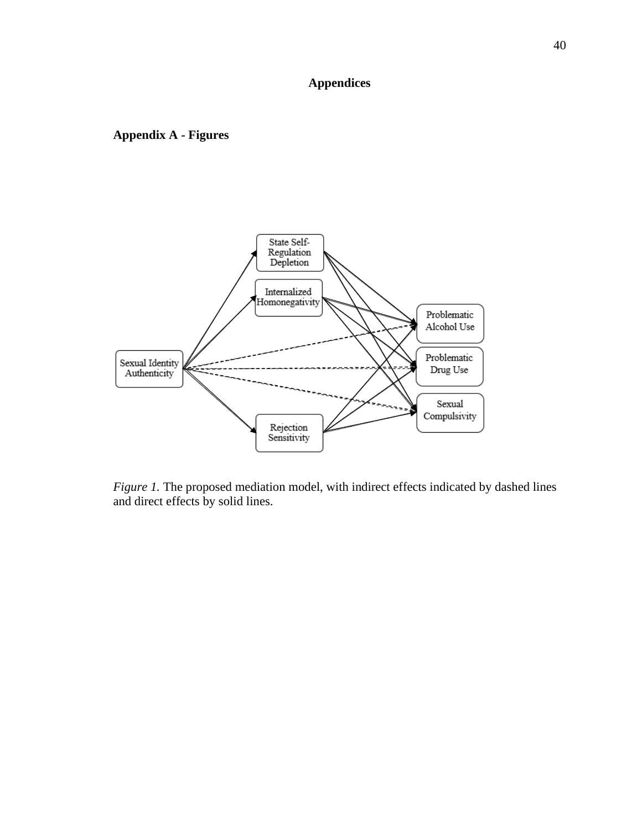# **Appendices**

**Appendix A - Figures**



*Figure 1.* The proposed mediation model, with indirect effects indicated by dashed lines and direct effects by solid lines.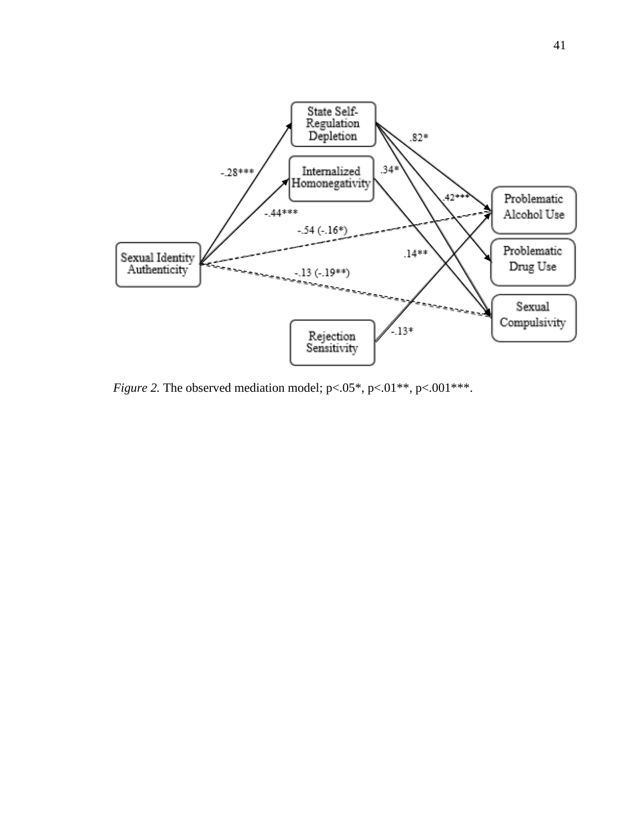

*Figure 2.* The observed mediation model; p<.05\*, p<.01\*\*, p<.001\*\*\*.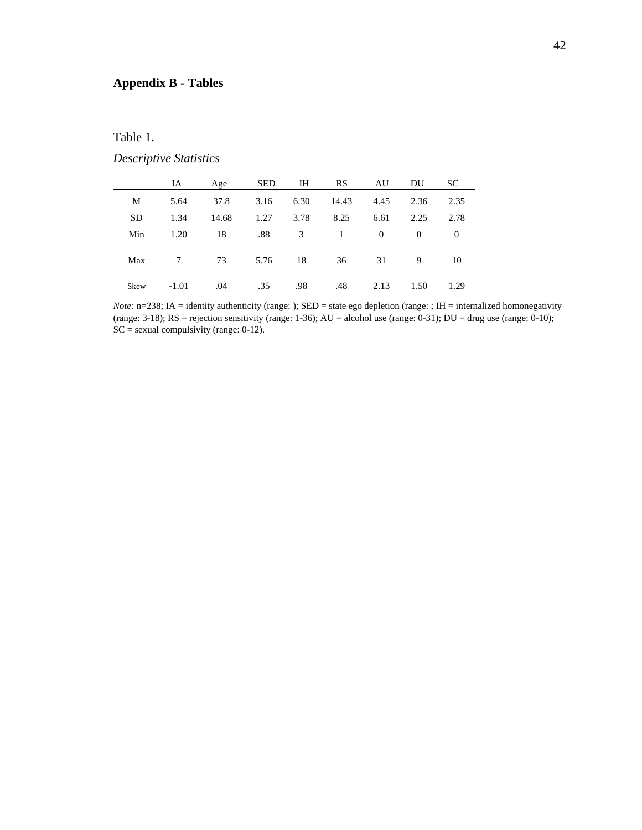### **Appendix B - Tables**

#### Table 1.

### *Descriptive Statistics*

|     | IA Age                                     |  | SED IH RS AU DU SC |      |      |
|-----|--------------------------------------------|--|--------------------|------|------|
|     | M 5.64 37.8 3.16 6.30 14.43 4.45 2.36 2.35 |  |                    |      |      |
| SD  | $1.34$ 14.68 1.27 3.78 8.25 6.61 2.25 2.78 |  |                    |      |      |
| Min | $1.20$ 18 .88 3 1 0 0 0                    |  |                    |      |      |
|     | Max 7 73 5.76 18 36 31 9 10                |  |                    |      |      |
|     | Skew -1.01 .04 .35 .98 .48 2.13            |  |                    | 1.50 | 1.29 |

*Note:* n=238; IA = identity authenticity (range: ); SED = state ego depletion (range: ; IH = internalized homonegativity (range: 3-18);  $RS =$  rejection sensitivity (range: 1-36);  $AU =$  alcohol use (range: 0-31);  $DU =$  drug use (range: 0-10);  $SC =$  sexual compulsivity (range: 0-12).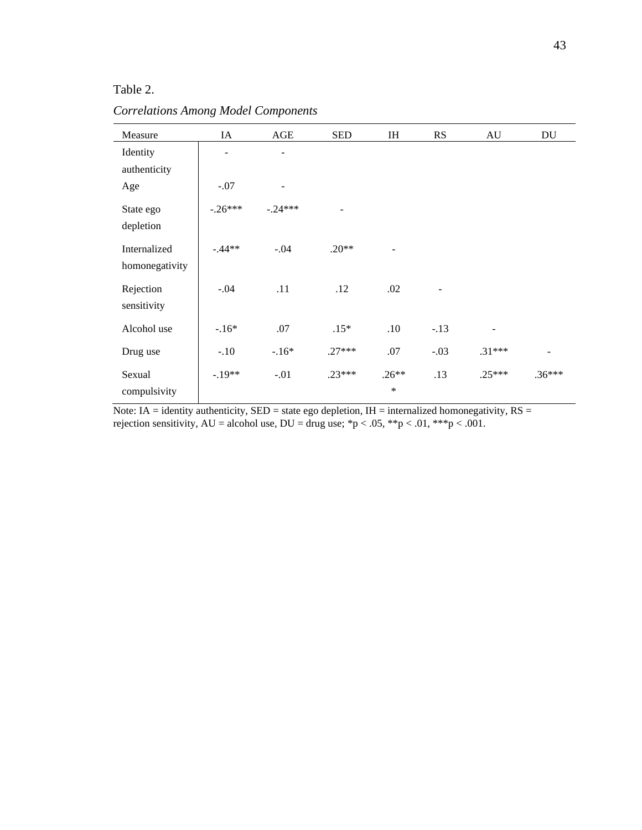### Table 2.

*Correlations Among Model Components*

| Measure                        | IA                       | AGE       | <b>SED</b> | IH                       | RS                | AU       | DU       |
|--------------------------------|--------------------------|-----------|------------|--------------------------|-------------------|----------|----------|
| Identity<br>authenticity       | $\overline{\phantom{a}}$ | -         |            |                          |                   |          |          |
| Age                            | $-.07$                   |           |            |                          |                   |          |          |
| State ego<br>depletion         | $-.26***$                | $-.24***$ |            |                          |                   |          |          |
| Internalized<br>homonegativity | $-.44**$                 | $-.04$    | $.20**$    | $\overline{\phantom{a}}$ |                   |          |          |
| Rejection<br>sensitivity       | $-.04$                   | .11       | .12        | .02                      | $\qquad \qquad -$ |          |          |
| Alcohol use                    | $-.16*$                  | .07       | $.15*$     | .10                      | $-.13$            |          |          |
| Drug use                       | $-.10$                   | $-.16*$   | $.27***$   | .07                      | $-.03$            | $.31***$ |          |
| Sexual<br>compulsivity         | $-.19**$                 | $-.01$    | $.23***$   | $.26**$<br>$\ast$        | .13               | $.25***$ | $.36***$ |

Note: IA = identity authenticity,  $SED = state$  ego depletion, IH = internalized homonegativity,  $RS =$ rejection sensitivity,  $AU =$  alcohol use,  $DU =$  drug use; \*p < .05, \*\*p < .01, \*\*\*p < .001.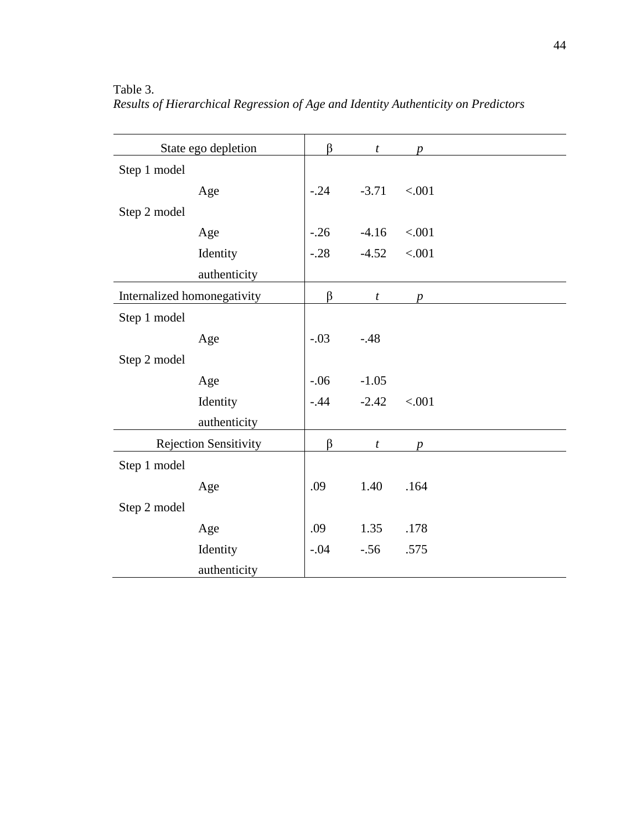| State ego depletion         |                              | β      | $\boldsymbol{t}$ | p                |  |
|-----------------------------|------------------------------|--------|------------------|------------------|--|
| Step 1 model                |                              |        |                  |                  |  |
|                             | Age                          | $-.24$ | $-3.71$          | < .001           |  |
| Step 2 model                |                              |        |                  |                  |  |
|                             | Age                          | $-.26$ | $-4.16$          | < .001           |  |
|                             | Identity                     | $-.28$ | $-4.52$          | < .001           |  |
|                             | authenticity                 |        |                  |                  |  |
| Internalized homonegativity |                              | β      | $\boldsymbol{t}$ | $\boldsymbol{p}$ |  |
| Step 1 model                |                              |        |                  |                  |  |
|                             | Age                          | $-.03$ | $-48$            |                  |  |
| Step 2 model                |                              |        |                  |                  |  |
|                             | Age                          | $-06$  | $-1.05$          |                  |  |
|                             | Identity                     | $-.44$ | $-2.42$          | < .001           |  |
|                             | authenticity                 |        |                  |                  |  |
|                             | <b>Rejection Sensitivity</b> | β      | $\boldsymbol{t}$ | D                |  |
| Step 1 model                |                              |        |                  |                  |  |
|                             | Age                          | .09    | 1.40             | .164             |  |
| Step 2 model                |                              |        |                  |                  |  |
|                             | Age                          | .09    | 1.35             | .178             |  |
|                             | Identity                     | $-.04$ | $-.56$           | .575             |  |
|                             | authenticity                 |        |                  |                  |  |

Table 3. *Results of Hierarchical Regression of Age and Identity Authenticity on Predictors*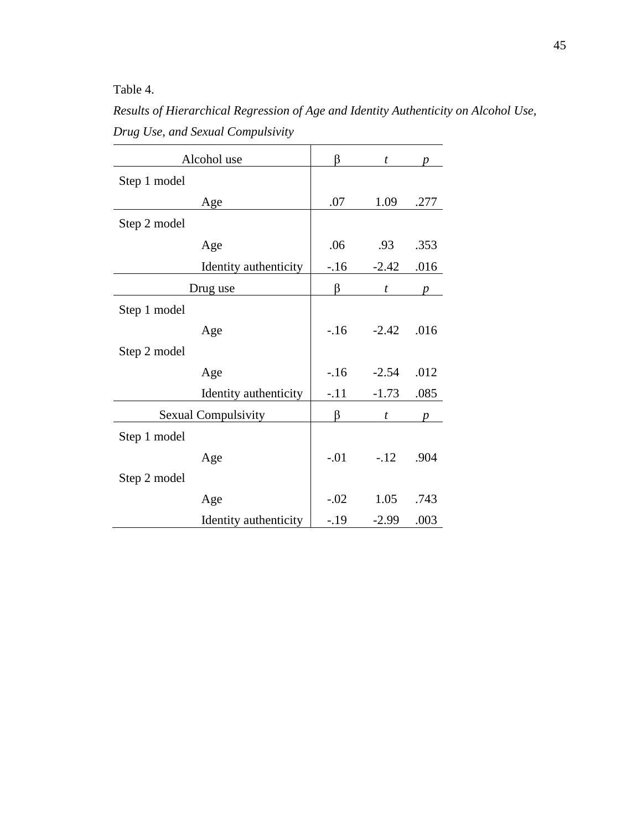Table 4.

*Results of Hierarchical Regression of Age and Identity Authenticity on Alcohol Use, Drug Use, and Sexual Compulsivity*  $\overline{\phantom{a}}$ 

| Alcohol use                | β      | t                |      |
|----------------------------|--------|------------------|------|
| Step 1 model               |        |                  |      |
| Age                        | .07    | 1.09             | .277 |
| Step 2 model               |        |                  |      |
| Age                        | .06    | .93              | .353 |
| Identity authenticity      | $-.16$ | $-2.42$          | .016 |
| Drug use                   | β      | $\boldsymbol{t}$ | p    |
| Step 1 model               |        |                  |      |
| Age                        | $-16$  | $-2.42$          | .016 |
| Step 2 model               |        |                  |      |
| Age                        | $-16$  | $-2.54$          | .012 |
| Identity authenticity      | $-.11$ | $-1.73$          | .085 |
| <b>Sexual Compulsivity</b> | ß      | t                |      |
| Step 1 model               |        |                  |      |
| Age                        | $-.01$ | $-.12$           | .904 |
| Step 2 model               |        |                  |      |
| Age                        | $-.02$ | 1.05             | .743 |
| Identity authenticity      | $-.19$ | $-2.99$          | .003 |